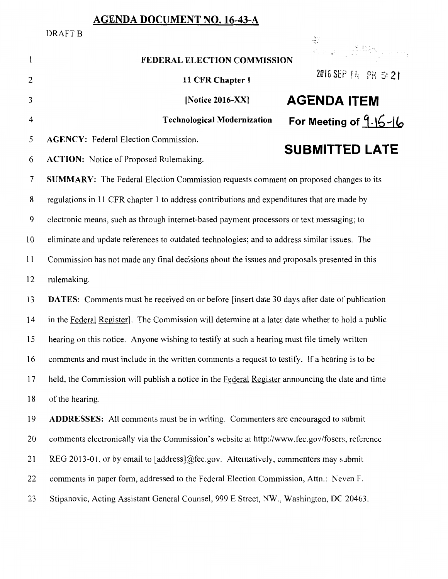## **AGENDA DOCUMENT NO. 16-43-A**

DRAFT<sub>B</sub>  $\frac{1}{2}$ 육)<br>원조 국민은 경제 기사 (1998년)  $\mathbf{1}$ **FEDERAL ELECTION COMMISSION 11 CFR Chapter 1 2016 SEP 14, PH 5: 2 <b>1 EXECUTE:** [Notice 2016-XX] **AGENDA ITEM** <sup>4</sup>**Technological Modernization For Meeting of 9- \6-llo**  5 **AGENCY:** Federal Election Commission. **SUBMITTED LATE**  6 **ACTION:** Notice of Proposed Rulemaking. 7 **SUMMARY:** The Federal Election Commission requests comment on proposed changes to its 8 regulations in 11 CFR chapter 1 to address contributions and expenditures that are made by 9 electronic means, such as through internet-based payment processors or text messaging; to 10 eliminate and update references to outdated technologies; and to address similar issues. The 11 Commission has not made any final decisions about the issues and proposals presented in this 12 rulemaking. 13 **DATES:** Comments must be received on or before [insert date 30 days after date of publication 14 in the Federal Register]. The Commission will determine at a later date whether to hold a public 15 hearing on this notice. Anyone wishing to testify at such a hearing must file timely written 16 comments and must include in the written comments a request to testify. If a hearing is to be 17 held, the Commission will publish a notice in the Federal Register announcing the date and time 18 of the hearing. 19 **ADDRESSES:** All comments must be in writing. Commenters are encouraged to submit 20 comments electronically via the Commission's website at http://www.fec.gov/fosers, reference 21 REG 2013-01, or by email to [address]@fec.gov. Alternatively, commenters may submit 22 comments in paper form, addressed to the Federal Election Commission, Attn.: Neven F. 23 Stipanovic, Acting Assistant General Counsel, 999 E Street, NW., Washington, DC 20463.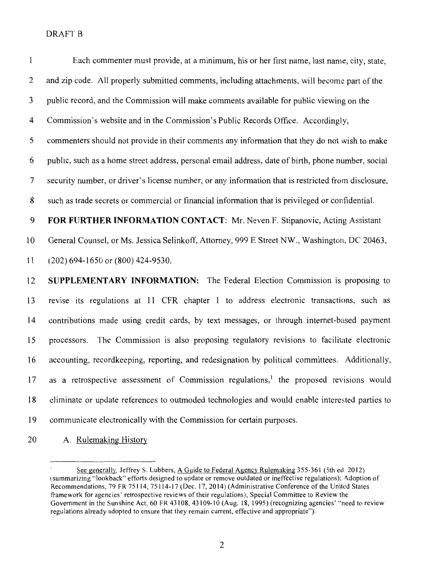| $\mathbf{1}$     | Each commenter must provide, at a minimum, his or her first name, last name, city, state,           |
|------------------|-----------------------------------------------------------------------------------------------------|
| $\overline{c}$   | and zip code. All properly submitted comments, including attachments, will become part of the       |
| 3                | public record, and the Commission will make comments available for public viewing on the            |
| $\overline{4}$   | Commission's website and in the Commission's Public Records Office. Accordingly,                    |
| 5                | commenters should not provide in their comments any information that they do not wish to make       |
| 6                | public, such as a home street address, personal email address, date of birth, phone number, social  |
| $\overline{7}$   | security number, or driver's license number, or any information that is restricted from disclosure, |
| 8                | such as trade secrets or commercial or financial information that is privileged or confidential.    |
| $\boldsymbol{9}$ | FOR FURTHER INFORMATION CONTACT: Mr. Neven F. Stipanovic, Acting Assistant                          |
| 10               | General Counsel, or Ms. Jessica Selinkoff, Attorney, 999 E Street NW., Washington, DC 20463,        |
| 11               | $(202)$ 694-1650 or $(800)$ 424-9530.                                                               |
| 12               | SUPPLEMENTARY INFORMATION: The Federal Election Commission is proposing to                          |
| 13               | revise its regulations at 11 CFR chapter 1 to address electronic transactions, such as              |
| 14               | contributions made using credit cards, by text messages, or through internet-based payment          |
| 15               | The Commission is also proposing regulatory revisions to facilitate electronic<br>processors.       |
| 16               | accounting, recordkeeping, reporting, and redesignation by political committees. Additionally,      |
| 17               | as a retrospective assessment of Commission regulations, <sup>1</sup> the proposed revisions would  |
| 18               | eliminate or update references to outmoded technologies and would enable interested parties to      |
| 19               | communicate electronically with the Commission for certain purposes.                                |

20 A. Rulemaking History

 $\bar{\Gamma}$ See generally. Jeffrey S. Lubbers, A Guide to Federal Agency Rulemaking 355-361 (5th ed. 2012) (summarizing ·•Jookback" efforts designed to update or remove outdated or ineffective regulations); Adoption of Recommendations, 79 FR 75114, 75114-17 (Dec. 17, 2014) (Administrative Conference of the United States framework for agencies' retrospective reviews of their regulations); Special Committee to Review the Government in the Sunshine Act, 60 FR 43108, 43109-10 (Aug. 18, 1995) (recognizing agencies' "need to review regulations already adopted to ensure that they remain current, effective and appropriate").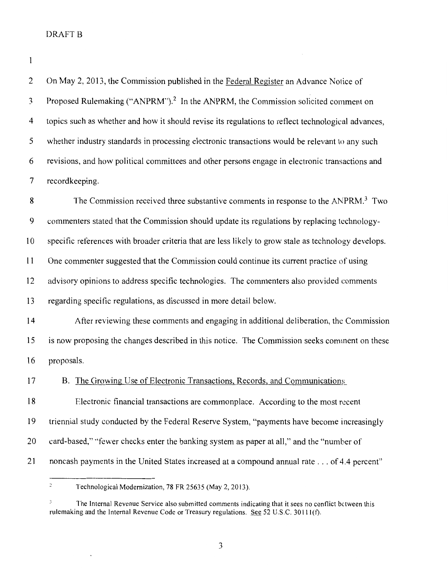$\mathbf{1}$ 

2 On May 2, 2013, the Commission published in the Federal Register an Advance Notice of 3 Proposed Rulemaking ("ANPRM").2 In the ANPRM, the Commission solicited comment on 4 topics such as whether and how it should revise its regulations to reflect technological advances, 5 whether industry standards in processing electronic transactions would be relevant to any such 6 revisions, and how political committees and other persons engage in electronic transactions and 7 recordkeeping. 8 The Commission received three substantive comments in response to the ANPRM.<sup>3</sup> Two 9 commenters stated that the Commission should update its regulations by replacing technology-10 specific references with broader criteria that are less likely to grow stale as technology develops. 11 One commenter suggested that the Commission could continue its current practice of using 12 advisory opinions to address specific technologies. The commenters also provided comments 13 regarding speci fie regulations, as discussed in more detail below. 14 After reviewing these comments and engaging in additional deliberation, the Commission 15 is now proposing the changes described in this notice. The Commission seeks comment on these 16 proposals. 17 B. The Growing Use of Electronic Transactions, Records, and Communications 18 Electronic financial transactions are commonplace. According to the most recent 19 triennial study conducted by the Federal Reserve System, "payments have become increasingly 20 card-based," "fewer checks enter the banking system as paper at all," and the "number of 21 noncash payments in the United States increased at a compound annual rate ... of 4.4 percent"

 $\ddot{c}$ Technological Modernization, 78 FR 25635 (May 2, 2013).

The Internal Revenue Service also submitted comments indicating that it sees no conflict between this rulemaking and the Internal Revenue Code or Treasury regulations. See 52 U.S.C. 30111(f).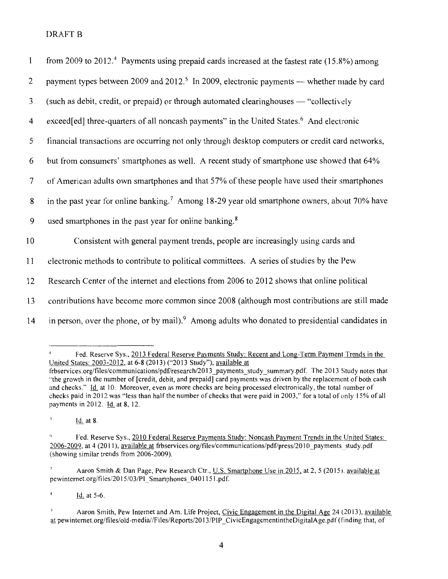| $\mathbf{1}$            | from 2009 to 2012. <sup>4</sup> Payments using prepaid cards increased at the fastest rate $(15.8\%)$ among |
|-------------------------|-------------------------------------------------------------------------------------------------------------|
| $\overline{2}$          | payment types between 2009 and 2012. <sup>5</sup> In 2009, electronic payments — whether made by card       |
| 3                       | (such as debit, credit, or prepaid) or through automated clearinghouses — "collectively                     |
| $\overline{\mathbf{4}}$ | exceed[ed] three-quarters of all noncash payments" in the United States. <sup>6</sup> And electronic        |
| 5                       | financial transactions are occurring not only through desktop computers or credit card networks,            |
| 6                       | but from consumers' smartphones as well. A recent study of smartphone use showed that 64%                   |
| $\overline{7}$          | of American adults own smartphones and that 57% of these people have used their smartphones                 |
| 8                       | in the past year for online banking. <sup>7</sup> Among 18-29 year old smartphone owners, about 70% have    |
| 9                       | used smartphones in the past year for online banking. <sup>8</sup>                                          |
| 10                      | Consistent with general payment trends, people are increasingly using cards and                             |
| 11                      | electronic methods to contribute to political committees. A series of studies by the Pew                    |
| 12                      | Research Center of the internet and elections from 2006 to 2012 shows that online political                 |
| 13                      | contributions have become more common since 2008 (although most contributions are still made                |
| 14                      | in person, over the phone, or by mail). Among adults who donated to presidential candidates in              |

Fed. Reserve Sys., 2013 Federal Reserve Payments Study: Recent and Long-Term Payment Trends in the United States: 2003-2012, at 6-8 (2013) ("2013 Study"), available at frbservices.org/files/communications/pdf/research/20 13 \_payments\_study \_summary.pdf. The 2013 Study notes that ''the growth in the number of [credit, debit, and prepaid] card payments was driven by the replacement of both cash and checks." Id. at 10. Moreover, even as more checks are being processed electronically, the total number of checks paid in 2012 was "less than half the number of checks that were paid in 2003," for a total of only 15% of all paymentsin2012. ld.at8, 12.

 $\mathbf{5}$ 1d. at 8.

 $\overline{\tau}$ Aaron Smith & Dan Page, Pew Research Ctr., U.S. Smartphone Use in 2015, at 2, 5 (2015). available at pewinternet.org/files/2015/03/PI\_Smartphones\_0401151.pdf.

 $\bar{\mathbf{3}}$  $\underline{Id}$ . at 5-6.

Fed. Reserve Sys., 2010 Federal Reserve Payments Study: Noncash Payment Trends in the United States: 2006-2009, at 4 (2011), available at frbservices.org/files/communications/pdf/press/2010 payments study.pdf (showing similar trends from 2006-2009).

 $\mathcal{L}$ Aaron Smith, Pew Internet and Am. Life Project, Civic Engagement in the Digital Age 24 (2013), available at pewinternet.org/files/old-media//Files/Reports/2013/PIP CivicEngagementintheDigitalAge.pdf (finding that, of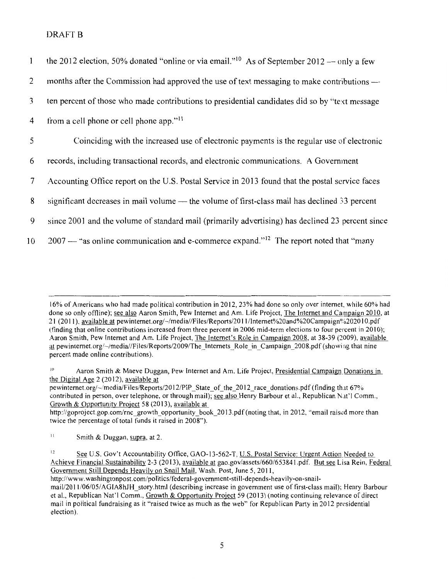| $\mathbf{1}$    | the 2012 election, 50% donated "online or via email." <sup>10</sup> As of September 2012 — only a few |
|-----------------|-------------------------------------------------------------------------------------------------------|
| 2               | months after the Commission had approved the use of text messaging to make contributions —            |
| 3               | ten percent of those who made contributions to presidential candidates did so by "text message"       |
| $\overline{4}$  | from a cell phone or cell phone app." <sup>11</sup>                                                   |
| 5               | Coinciding with the increased use of electronic payments is the regular use of electronic             |
| 6               | records, including transactional records, and electronic communications. A Government                 |
| $7\phantom{.0}$ | Accounting Office report on the U.S. Postal Service in 2013 found that the postal service faces       |
| 8               | significant decreases in mail volume - the volume of first-class mail has declined 33 percent         |
| 9               | since 2001 and the volume of standard mail (primarily advertising) has declined 23 percent since      |
| 10              | $2007$ — "as online communication and e-commerce expand." <sup>12</sup> The report noted that "many"  |

16% of Americans who had made political contribution in 2012, 23% had done so only over internet, while 60% had done so only offline); see also Aaron Smith, Pew Internet and Am. Life Project, The Internet and Campaign 2010, at 21 (2011), available at pewinternet.org/~/media//Files/Reports/2011/Internet%20and%20Campaign%202010.pdf (finding that online contributions increased from three percent in 2006 mid-term elections to four percent in 2010); Aaron Smith, Pew Internet and Am. Life Project, The Internet's Role in Campaign 2008, at 38-39 (2009), available at pewinternet.org/~/media//Files/Reports/2009/The\_Internets\_Role in\_Campaign\_2008.pdf (showing that nine percent made online contributions).

Aaron Smith & Maeve Duggan, Pew Internet and Am. Life Project, Presidential Campaign Donations in the Digital Age 2 (2012), available at

pewinternet.org/-/media/Files/Reports/2012/PIP State of the 2012 race donations.pdf (finding that 67% contributed in person, over telephone, or through mail); see also Henry Barbour et al., Republican N.1t'l Comm., Growth & Opportunity Project 58 (2013), available at

http://goproject.gop.com/rnc \_growth \_opportunity \_book\_ 20 13.pdf (noting that, in 2012, "email raised more than twice the percentage of total funds it raised in 2008").

 $11$  Smith & Duggan, supra, at 2.

<sup>12</sup> See U.S. Gov't Accountability Office, GAO-13-562-T, <u>U.S. Postal Service: Urgent Action</u> Needed to Achieve Financial Sustainability 2-3 (2013), available at gao.gov/assets/660/65384l.pdf. But see Lisa Rein, Federal Government Still Depends Heavily on Snail Mail, Wash. Post, June 5, 2011,

http://www.washingtonpost.com/politics/federal-government-still-depends-heavily-on-snailmail/2011/06/05/AGIA8hJH\_story.html (describing increase in government use of first-class mail); Henry Barbour et al., Republican Nat'l Comm., Growth & Opportunity Project 59 (2013) (noting continuing relevance of direct mail in political fundraising as it "raised twice as much as the web" for Republican Party in 2012 presidential election).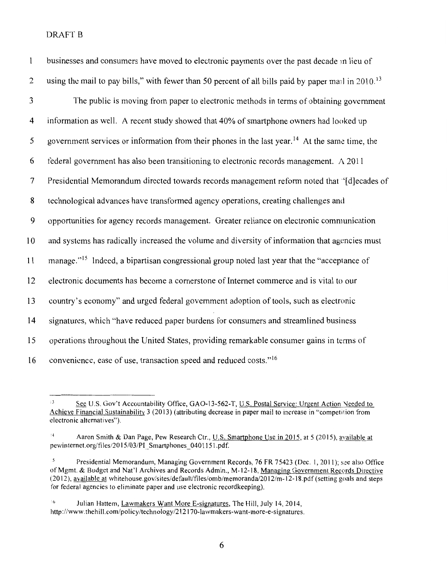| $\mathbf{1}$   | businesses and consumers have moved to electronic payments over the past decade in lieu of                      |
|----------------|-----------------------------------------------------------------------------------------------------------------|
| $\overline{2}$ | using the mail to pay bills," with fewer than 50 percent of all bills paid by paper mail in 2010. <sup>13</sup> |
| 3              | The public is moving from paper to electronic methods in terms of obtaining government                          |
| 4              | information as well. A recent study showed that 40% of smartphone owners had looked up                          |
| 5              | government services or information from their phones in the last year. <sup>14</sup> At the same time, the      |
| 6              | federal government has also been transitioning to electronic records management. A 2011                         |
| 7              | Presidential Memorandum directed towards records management reform noted that "[d]ecades of                     |
| 8              | technological advances have transformed agency operations, creating challenges and                              |
| 9              | opportunities for agency records management. Greater reliance on electronic communication                       |
| 10             | and systems has radically increased the volume and diversity of information that agencies must                  |
| 11             | manage." <sup>15</sup> Indeed, a bipartisan congressional group noted last year that the "acceptance of         |
| 12             | electronic documents has become a cornerstone of Internet commerce and is vital to our                          |
| 13             | country's economy" and urged federal government adoption of tools, such as electronic                           |
| 14             | signatures, which "have reduced paper burdens for consumers and streamlined business                            |
| 15             | operations throughout the United States, providing remarkable consumer gains in terms of                        |
| 16             | convenience, ease of use, transaction speed and reduced costs." <sup>16</sup>                                   |

<sup>&#</sup>x27;See U.S. Gov't Accountability Office, GAO-13-562-T, U.S. Postal Service: Urgent Action Needed to Achieve Financial Sustainability 3 (2013) (attributing decrease in paper mail to increase in "competition from electronic alternatives").

<sup>&#</sup>x27;Aaron Smith & Dan Page, Pew Research Ctr., U.S. Smartphone Use in 2015, at 5 (2015), available at pewinternet.org/files/2015/03/PI\_Smartphones\_0401151.pdf.

Presidential Memorandum, Managing Government Records, 76 FR 75423 (Dec. 1, 2011); see also Office of Mgmt. & Budget and Nat'l Archives and Records Admin., M-12-18, Managing Government Records Directive (20 12 ), available at whitehouse.gov/sites/default/files/omb/memoranda/20 12/m-12-18.pdf (setting goals and steps for federal agencies to eliminate paper and use electronic recordkeeping).

<sup>&</sup>lt;sup>16</sup> Julian Hattem, Lawmakers Want More E-signatures, The Hill, July 14, 2014, http://www. thehill.com/policy/technology/212170-lawmakers-want-more-e-signatures.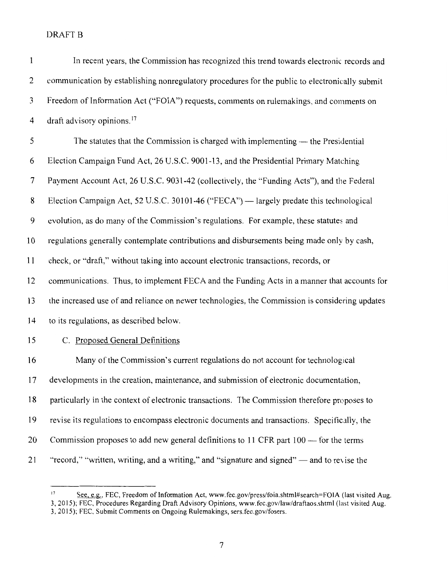| $\mathbf{1}$   | In recent years, the Commission has recognized this trend towards electronic records and       |
|----------------|------------------------------------------------------------------------------------------------|
| $\overline{c}$ | communication by establishing nonregulatory procedures for the public to electronically submit |
| 3              | Freedom of Information Act ("FOIA") requests, comments on rulemakings, and comments on         |
| $\overline{4}$ | draft advisory opinions. <sup>17</sup>                                                         |
| 5              | The statutes that the Commission is charged with implementing — the Presidential               |
| 6              | Election Campaign Fund Act, 26 U.S.C. 9001-13, and the Presidential Primary Matching           |
| 7              | Payment Account Act, 26 U.S.C. 9031-42 (collectively, the "Funding Acts"), and the Federal     |
| 8              | Election Campaign Act, 52 U.S.C. 30101-46 ("FECA") — largely predate this technological        |
| 9              | evolution, as do many of the Commission's regulations. For example, these statutes and         |
| 10             | regulations generally contemplate contributions and disbursements being made only by cash,     |
| 11             | check, or "draft," without taking into account electronic transactions, records, or            |
| 12             | communications. Thus, to implement FECA and the Funding Acts in a manner that accounts for     |
| 13             | the increased use of and reliance on newer technologies, the Commission is considering updates |
| 14             | to its regulations, as described below.                                                        |
| 15             | C. Proposed General Definitions                                                                |
| 16             | Many of the Commission's current regulations do not account for technological                  |
| 17             | developments in the creation, maintenance, and submission of electronic documentation,         |
| 18             | particularly in the context of electronic transactions. The Commission therefore proposes to   |
| 19             | revise its regulations to encompass electronic documents and transactions. Specifically, the   |
| 20             | Commission proposes to add new general definitions to 11 CFR part 100 — for the terms          |
| 21             | "record," "written, writing, and a writing," and "signature and signed" — and to revise the    |

<sup>17</sup> See, e.g., FEC, Freedom of Information Act, www.fec.gov/press/foia.shtml#search=FOIA (last visited Aug. 3, 20 15); FEC, Procedures Regarding Draft Advisory Opinions, www.fec.gov/law/draftaos.shtml (last visited Aug. 3, 20 15); FEC, Submit Comments on Ongoing Rulemakings, sers.fec.gov/fosers.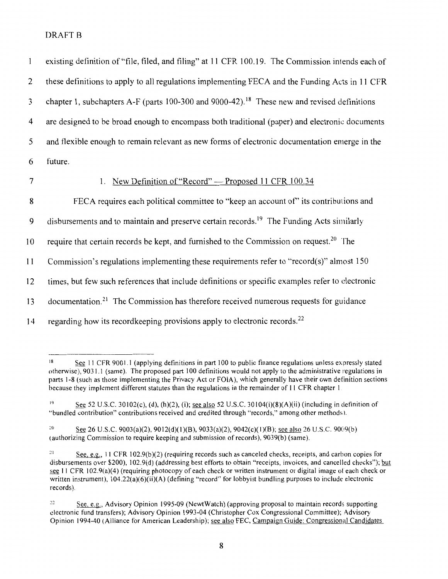| $\mathbf{1}$   | existing definition of "file, filed, and filing" at 11 CFR 100.19. The Commission intends each of       |
|----------------|---------------------------------------------------------------------------------------------------------|
| 2              | these definitions to apply to all regulations implementing FECA and the Funding Acts in 11 CFR          |
| $\mathfrak{Z}$ | chapter 1, subchapters A-F (parts 100-300 and 9000-42). <sup>18</sup> These new and revised definitions |
| 4              | are designed to be broad enough to encompass both traditional (paper) and electronic documents          |
| 5              | and flexible enough to remain relevant as new forms of electronic documentation emerge in the           |
| 6              | future.                                                                                                 |
| $\overline{7}$ | New Definition of "Record" — Proposed 11 CFR 100.34<br>1.                                               |
| 8              | FECA requires each political committee to "keep an account of" its contributions and                    |
| 9              | disbursements and to maintain and preserve certain records. <sup>19</sup> The Funding Acts similarly    |
| 10             | require that certain records be kept, and furnished to the Commission on request. <sup>20</sup> The     |
| 11             | Commission's regulations implementing these requirements refer to "record(s)" almost 150                |
| 12             | times, but few such references that include definitions or specific examples refer to electronic        |
| 13             | documentation. <sup>21</sup> The Commission has therefore received numerous requests for guidance       |
| 14             | regarding how its recordkeeping provisions apply to electronic records. <sup>22</sup>                   |

<sup>&</sup>lt;sup>18</sup> See 11 CFR 9001.1 (applying definitions in part 100 to public finance regulations unless expressly stated otherwise), 9031.1 (same). The proposed part I 00 definitions would not apply to the administrative regulations in parts 1-8 (such as those implementing the Privacy Act or FOIA), which generally have their own definition sections because they implement different statutes than the regulations in the remainder of II CFR chapter I

<sup>19</sup> See 52 U.S.C. 30102(c), (d), (h)(2), (i); <u>see also</u> 52 U.S.C. 30104(i)(8)(A)(ii) (including in definition of "bundled contribution" contributions received and credited through "records," among other methods l.

<sup>&</sup>lt;sup>20</sup> See 26 U.S.C. 9003(a)(2), 9012(d)(1)(B), 9033(a)(2), 9042(c)(1)(B); <u>see also</u> 26 U.S.C. 9009(b) (authorizing Commission to require keeping and submission of records), 9039(b) (same).

<sup>&</sup>lt;sup>21</sup> See, e.g., 11 CFR 102.9(b)(2) (requiring records such as canceled checks, receipts, and carbon copies for disbursements over \$200), 102.9(d) (addressing best efforts to obtain "receipts, invoices, and cancelled checks"); but see 11 CFR 102.9(a)(4) (requiring photocopy of each check or written instrument or digital image of each check or written instrument),  $104.22(a)(6)(ii)(A)$  (defining "record" for lobbyist bundling purposes to include electronic records).

<sup>:~</sup> <sup>2</sup>**See, e.g., Advisory Opinion 1995-09 (NewtWatch) (approving proposal to maintain records supporting**  electronic fund transfers); Advisory Opinion 1993-04 (Christopher Cox Congressional Committee); Advisory Opinion 1994-40 (Alliance for American Leadership); see also FEC, Campaign Guide: Congressional Candidates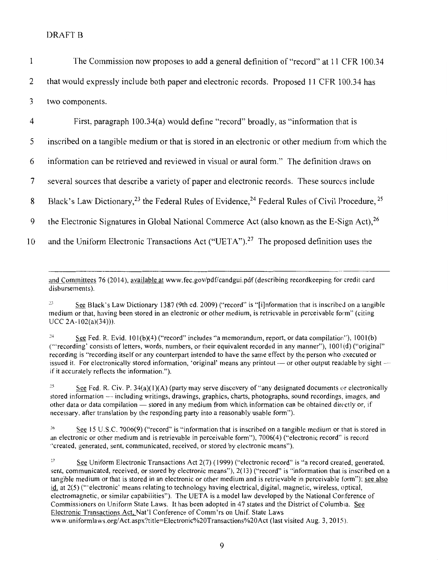| The Commission now proposes to add a general definition of "record" at 11 CFR 100.34       |
|--------------------------------------------------------------------------------------------|
| that would expressly include both paper and electronic records. Proposed 11 CFR 100.34 has |
| two components.                                                                            |

4 First, paragraph 100.34(a) would define "record" broadly, as "information that is 5 inscribed on a tangible medium or that is stored in an electronic or other medium from which the 6 information can be retrieved and reviewed in visual or aural form." The definition draws on 7 several sources that describe a variety of paper and electronic records. These sources include 8 Black's Law Dictionary, <sup>23</sup> the Federal Rules of Evidence, <sup>24</sup> Federal Rules of Civil Procedure, <sup>25</sup> 9 the Electronic Signatures in Global National Commerce Act (also known as the E-Sign Act),  $^{26}$ 10 and the Uniform Electronic Transactions Act ("UETA").<sup>27</sup> The proposed definition uses the

and Committees 76 (2014), available at www.fec.gov/pdf/candgui.pdf(describing recordkeeping for credit card disbursements).

<sup>23</sup> See Black's Law Dictionary 1387 (9th ed. 2009) ("record" is "[i]nformation that is inscribed on a tangible medium or that, having been stored in an electronic or other medium, is retrievable in perceivable form" (citing UCC 2A-l02(a)(34))).

 $24$  See Fed. R. Evid. 101(b)(4) ("record" includes "a memorandum, report, or data compilation"), 1001(b) ("'recording' consists of letters, words, numbers, or their equivalent recorded in any manner"), I 00 l (d) ("original" recording is "recording itself or any counterpart intended to have the same effect by the person who executed or issued it. For electronically stored information, 'original' means any printout - or other output readable by sightif it accurately reflects the information.") .

<sup>25</sup> See Fed. R. Civ. P. 34(a)(1)(A) (party may serve discovery of "any designated documents or electronically stored information -- including writings, drawings, graphics, charts, photographs, sound recordings, images, and other data or data compilation - stored in any medium from which information can be obtained directly or, if necessary. after translation by the responding party into a reasonably usable form").

'6 See 15 U.S.C. 7006(9) ("record" is "information that is inscribed on a tangible medium or that is stored in an electronic or other medium and is retrievable in perceivable form"), 7006(4) ("electronic record" is record ·'created, generated, sent, communicated, received, or stored by electronic means").

<sup>27</sup> See Uniform Electronic Transactions Act 2(7) (1999) ("electronic record" is "a record created, generated, sent, communicated, received, or stored by electronic means"), 2(13) ("record" is "information that is inscribed on a tangible medium or that is stored in an electronic or other medium and is retrievable in perceivable form"); see also id. at 2(5) ("'electronic' means relating to technology having electrical, digital, magnetic, wireless, optical, electromagnetic, or similar capabilities"). The UET A is a model law developed by the National Conference of Commissioners on Uniform State Laws. It has been adopted in 47 states and the District of Columbia. See Electronic Transactions Act, Nat'l Conference of Comm'rs on Unif. State Laws www. uniformlaws.org/ Act.aspx?title=Electronic%20Transactions%20Act (last visited Aug. 3, 20 15 ).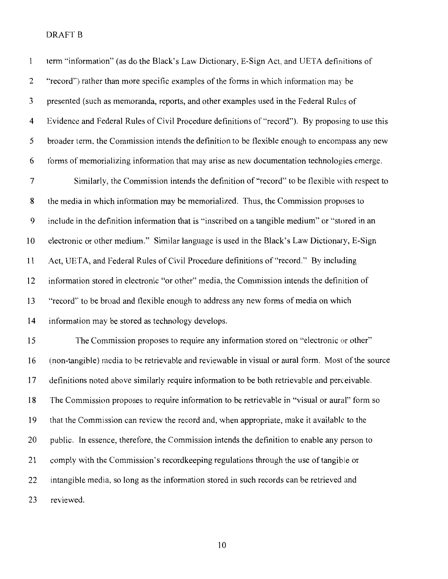| $\mathbf{1}$   | term "information" (as do the Black's Law Dictionary, E-Sign Act, and UETA definitions of         |
|----------------|---------------------------------------------------------------------------------------------------|
| 2              | "record") rather than more specific examples of the forms in which information may be             |
| 3              | presented (such as memoranda, reports, and other examples used in the Federal Rules of            |
| $\overline{4}$ | Evidence and Federal Rules of Civil Procedure definitions of "record"). By proposing to use this  |
| 5              | broader term, the Commission intends the definition to be flexible enough to encompass any new    |
| 6              | forms of memorializing information that may arise as new documentation technologies emerge.       |
| $\overline{7}$ | Similarly, the Commission intends the definition of "record" to be flexible with respect to       |
| $\bf 8$        | the media in which information may be memorialized. Thus, the Commission proposes to              |
| 9              | include in the definition information that is "inscribed on a tangible medium" or "stored in an   |
| 10             | electronic or other medium." Similar language is used in the Black's Law Dictionary, E-Sign       |
| 11             | Act, UETA, and Federal Rules of Civil Procedure definitions of "record." By including             |
| 12             | information stored in electronic "or other" media, the Commission intends the definition of       |
| 13             | "record" to be broad and flexible enough to address any new forms of media on which               |
| 14             | information may be stored as technology develops.                                                 |
| 15             | The Commission proposes to require any information stored on "electronic or other"                |
| 16             | (non-tangible) media to be retrievable and reviewable in visual or aural form. Most of the source |
| 17             | definitions noted above similarly require information to be both retrievable and perceivable.     |
| 18             | The Commission proposes to require information to be retrievable in "visual or aural" form so     |
| 19             | that the Commission can review the record and, when appropriate, make it available to the         |
| 20             | public. In essence, therefore, the Commission intends the definition to enable any person to      |
| 21             | comply with the Commission's record keeping regulations through the use of tangible or            |
| 22             | intangible media, so long as the information stored in such records can be retrieved and          |
| 23             | reviewed.                                                                                         |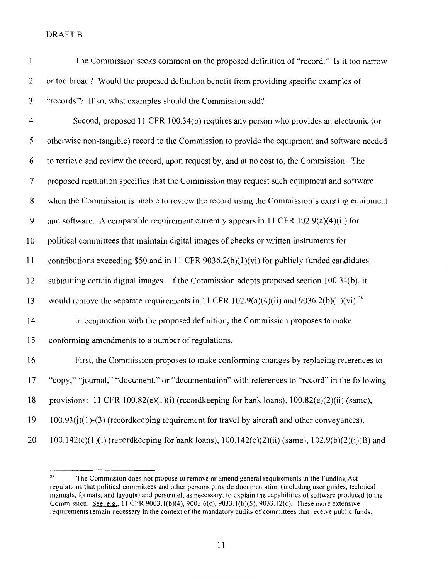| $\mathbf{1}$             | The Commission seeks comment on the proposed definition of "record." Is it too narrow                |
|--------------------------|------------------------------------------------------------------------------------------------------|
| 2                        | or too broad? Would the proposed definition benefit from providing specific examples of              |
| 3                        | "records"? If so, what examples should the Commission add?                                           |
| 4                        | Second, proposed 11 CFR 100.34(b) requires any person who provides an electronic (or                 |
| 5                        | otherwise non-tangible) record to the Commission to provide the equipment and software needed        |
| 6                        | to retrieve and review the record, upon request by, and at no cost to, the Commission. The           |
| $\overline{\mathcal{L}}$ | proposed regulation specifies that the Commission may request such equipment and software            |
| 8                        | when the Commission is unable to review the record using the Commission's existing equipment         |
| 9                        | and software. A comparable requirement currently appears in 11 CFR $102.9(a)(4)(ii)$ for             |
| 10                       | political committees that maintain digital images of checks or written instruments for               |
| 11                       | contributions exceeding \$50 and in 11 CFR $9036.2(b)(1)(vi)$ for publicly funded candidates         |
| 12                       | submitting certain digital images. If the Commission adopts proposed section 100.34(b), it           |
| 13                       | would remove the separate requirements in 11 CFR 102.9(a)(4)(ii) and 9036.2(b)(1)(vi). <sup>28</sup> |
| 14                       | In conjunction with the proposed definition, the Commission proposes to make                         |
| 15                       | conforming amendments to a number of regulations.                                                    |
| 16                       | First, the Commission proposes to make conforming changes by replacing references to                 |
| 17                       | "copy," "journal," "document," or "documentation" with references to "record" in the following       |
| 18                       | provisions: 11 CFR 100.82(e)(1)(i) (recordkeeping for bank loans), 100.82(e)(2)(ii) (same),          |
| 19                       | $100.93(j)(1)-(3)$ (record keeping requirement for travel by aircraft and other conveyances),        |
| 20                       | 100.142(e)(1)(i) (recordkeeping for bank loans), 100.142(e)(2)(ii) (same), 102.9(b)(2)(i)(B) and     |

 $28$  The Commission does not propose to remove or amend general requirements in the Funding Act regulations that political committees and other persons provide documentation (including user guides, technical manuals, formats, and layouts) and personnel, as necessary, to explain the capabilities of software produced to the Commission. See, e.g., 11 CFR 9003.1(b)(4), 9003.6(c), 9033.1(b)(5), 9033.12(c). These more extensive requirements remain necessary in the context of the mandatory audits of committees that receive public funds.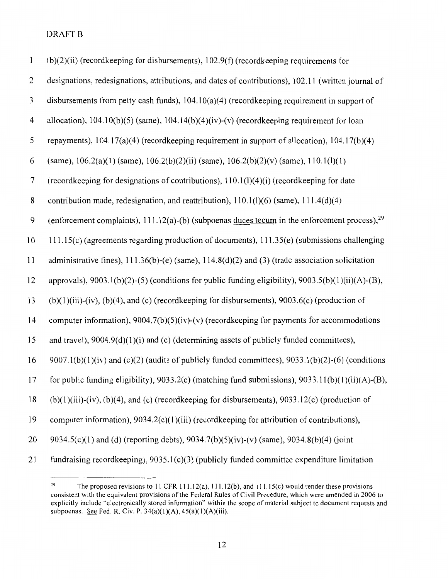| 1              | $(b)(2)(ii)$ (record keeping for disbursements), 102.9(f) (record keeping requirements for                   |
|----------------|--------------------------------------------------------------------------------------------------------------|
| $\overline{c}$ | designations, redesignations, attributions, and dates of contributions), 102.11 (written journal of          |
| 3              | disbursements from petty cash funds), $104.10(a)(4)$ (record keeping requirement in support of               |
| $\overline{4}$ | allocation), $104.10(b)(5)$ (same), $104.14(b)(4)(iv)-(v)$ (recordkeeping requirement for loan               |
| 5              | repayments), $104.17(a)(4)$ (record keeping requirement in support of allocation), $104.17(b)(4)$            |
| 6              | (same), $106.2(a)(1)$ (same), $106.2(b)(2)(ii)$ (same), $106.2(b)(2)(v)$ (same), $110.1(l)(1)$               |
| $\overline{7}$ | (recordkeeping for designations of contributions), 110.1(l)(4)(i) (recordkeeping for date                    |
| $\bf 8$        | contribution made, redesignation, and reattribution), $110.1(1)(6)$ (same), $111.4(d)(4)$                    |
| 9              | (enforcement complaints), $111.12(a)$ -(b) (subpoenas duces tecum in the enforcement process), <sup>29</sup> |
| 10             | 111.15(c) (agreements regarding production of documents), 111.35(e) (submissions challenging                 |
| 11             | administrative fines), $111.36(b)$ -(e) (same), $114.8(d)(2)$ and (3) (trade association solicitation        |
| 12             | approvals), 9003.1(b)(2)-(5) (conditions for public funding eligibility), 9003.5(b)(1)(ii)(A)-(B),           |
| 13             | $(b)(1)(iii)-(iv)$ , $(b)(4)$ , and $(c)$ (record keeping for disbursements), 9003.6 $(c)$ (production of    |
| 14             | computer information), $9004.7(b)(5)(iv)$ -(v) (record keeping for payments for accommodations               |
| 15             | and travel), 9004.9(d)(1)(i) and (e) (determining assets of publicly funded committees),                     |
| 16             | $9007.1(b)(1)(iv)$ and (c)(2) (audits of publicly funded committees), $9033.1(b)(2)-(6)$ (conditions         |
| 17             | for public funding eligibility), $9033.2(c)$ (matching fund submissions), $9033.11(b)(1)(ii)(A)-(B)$ ,       |
| 18             | $(b)(1)(iii)-(iv)$ , $(b)(4)$ , and $(c)$ (record keeping for disbursements), 9033.12 $(c)$ (production of   |
| 19             | computer information), $9034.2(c)(1)(iii)$ (record keeping for attribution of contributions),                |
| 20             | 9034.5(c)(1) and (d) (reporting debts), 9034.7(b)(5)(iv)-(v) (same), 9034.8(b)(4) (joint                     |
| 21             | fundraising recordkeeping), 9035.1(c)(3) (publicly funded committee expenditure limitation                   |

<sup>&</sup>lt;sup>29</sup> The proposed revisions to 11 CFR 111.12(a), 111.12(b), and 111.15(c) would render these provisions consistent with the equivalent provisions of the Federal Rules of Civil Procedure, which were amended in 2006 to explicitly include "electronically stored information" within the scope of material subject to document requests and subpoenas. See Fed. R. Civ. P. 34(a)(l)(A), 45(a)(1)(A)(iii).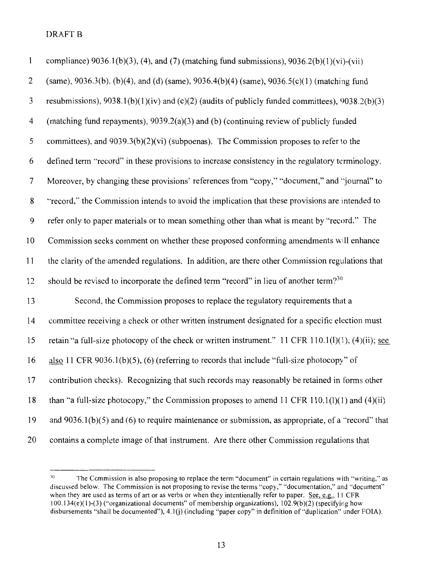| $\mathbf{1}$             | compliance) $9036.1(b)(3)$ , (4), and (7) (matching fund submissions), $9036.2(b)(1)(vi)-(vii)$           |
|--------------------------|-----------------------------------------------------------------------------------------------------------|
| 2                        | (same), 9036.3(b), (b)(4), and (d) (same), 9036.4(b)(4) (same), 9036.5(c)(1) (matching fund               |
| 3                        | resubmissions), $9038.1(b)(1)(iv)$ and (c)(2) (audits of publicly funded committees), $9038.2(b)(3)$      |
| $\overline{\mathcal{A}}$ | (matching fund repayments), $9039.2(a)(3)$ and (b) (continuing review of publicly funded                  |
| 5                        | committees), and $9039.3(b)(2)(vi)$ (subpoenas). The Commission proposes to refer to the                  |
| 6                        | defined term "record" in these provisions to increase consistency in the regulatory terminology.          |
| 7                        | Moreover, by changing these provisions' references from "copy," "document," and "journal" to              |
| 8                        | "record," the Commission intends to avoid the implication that these provisions are intended to           |
| 9                        | refer only to paper materials or to mean something other than what is meant by "record." The              |
| 10                       | Commission seeks comment on whether these proposed conforming amendments will enhance                     |
| 11                       | the clarity of the amended regulations. In addition, are there other Commission regulations that          |
| 12                       | should be revised to incorporate the defined term "record" in lieu of another term? <sup>30</sup>         |
| 13                       | Second, the Commission proposes to replace the regulatory requirements that a                             |
| 14                       | committee receiving a check or other written instrument designated for a specific election must           |
| 15                       | retain "a full-size photocopy of the check or written instrument." 11 CFR $110.1(1)(1)$ , $(4)(ii)$ ; see |
| 16                       | also 11 CFR 9036.1(b)(5), (6) (referring to records that include "full-size photocopy" of                 |
| 17                       | contribution checks). Recognizing that such records may reasonably be retained in forms other             |
| 18                       | than "a full-size photocopy," the Commission proposes to amend 11 CFR $110.1(1)(1)$ and $(4)(ii)$         |
| 19                       | and $9036.1(b)(5)$ and (6) to require maintenance or submission, as appropriate, of a "record" that       |
| 20                       | contains a complete image of that instrument. Are there other Commission regulations that                 |

<sup>&</sup>lt;sup>10</sup> The Commission is also proposing to replace the term "document" in certain regulations with "writing," as discussed below. The Commission is not proposing to revise the terms "copy," "documentation," and "document" when they are used as terms of art or as verbs or when they intentionally refer to paper. See, e.g., 11 CFR  $100.134(e)(1)-(3)$  ("organizational documents" of membership organizations),  $102.9(b)(2)$  (specifying how disbursements ''shall be documented"), 4.1 (j) (including "paper copy" in definition of "duplication" under FOIA).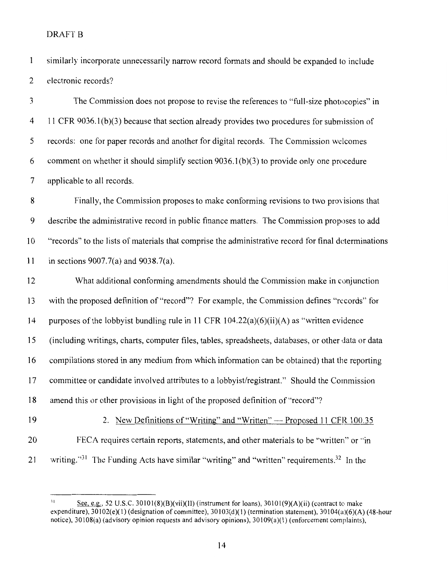$\mathbf{1}$ similarly incorporate unnecessarily narrow record formats and should be expanded to include 2 electronic records?

3 The Commission does not propose to revise the references to "full-size photocopies" in 4 11 CFR 9036.1(b)(3) because that section already provides two procedures for submission of 5 records: one for paper records and another for digital records. The Commission welcomes 6 comment on whether it should simplify section  $9036.1(b)(3)$  to provide only one procedure 7 applicable to all records.

8 Finally, the Commission proposes to make conforming revisions to two provisions that 9 describe the administrative record in public finance matters. The Commission proposes to add 10 "records'' to the lists of materials that comprise the administrative record for final determinations 11 in sections 9007.7(a) and 9038.7(a).

12 What additional conforming amendments should the Commission make in conjunction 13 with the proposed definition of "record"? For example, the Commission defines "records" for 14 purposes of the lobbyist bundling rule in 11 CFR 104.22(a)(6)(ii)(A) as "written evidence 15 (including writings, charts, computer files, tables, spreadsheets, databases, or other data or data 16 compilations stored in any medium from which information can be obtained) that the reporting 17 committee or candidate involved attributes to a lobbyist/registrant." Should the Commission 18 amend this or other provisions in light of the proposed definition of "record"?

19 2. New Definitions of "Writing" and "Written" -- Proposed 11 CFR 100.35

- 20 FECA requires certain reports, statements, and other materials to be "written" or ··in
- 21 writing.<sup>31</sup> The Funding Acts have similar "writing" and "written" requirements.<sup>32</sup> In the

<sup>&</sup>lt;sup>31</sup> See, e.g., 52 U.S.C. 30101(8)(B)(vii)(II) (instrument for loans), 30101(9)(A)(ii) (contract to make expenditure),  $30102(e)(1)$  (designation of committee),  $30103(d)(1)$  (termination statement),  $30104(a)(6)(A)$  (48-hour notice), 30108(a) (advisory opinion requests and advisory opinions), 30109(a)(l) (enforcement complaints),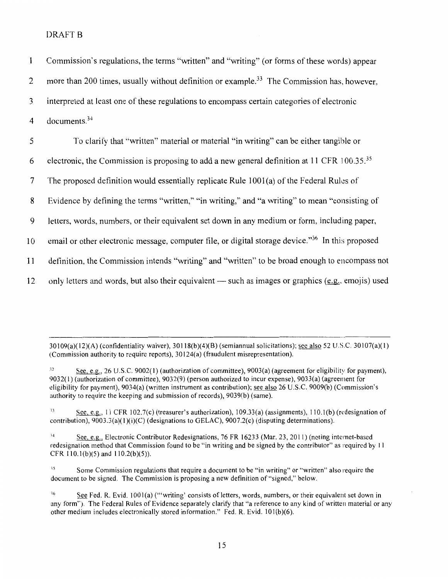$\mathbf{1}$ Commission's regulations, the terms "written" and "writing" (or forms of these words) appear 2 more than 200 times, usually without definition or example.<sup>33</sup> The Commission has, however, 3 interpreted at least one of these regulations to encompass certain categories of electronic 4 documents. <sup>34</sup> 5 To clarify that "written" material or material "in writing" can be either tangible or 6 electronic, the Commission is proposing to add a new general definition at 11 CFR  $100.35^{35}$ 7 The proposed definition would essentially replicate Rule 1001 (a) of the Federal Ruks of

8 Evidence by defining the terms "written," "in writing," and "a writing" to mean "consisting of

9 letters, words, numbers, or their equivalent set down in any medium or form, including paper,

10 email or other electronic message, computer file, or digital storage device.<sup>36</sup> In this proposed

11 definition, the Commission intends "writing" and "written" to be broad enough to encompass not

12 only letters and words, but also their equivalent  $-$  such as images or graphics ( $e.g.$  emojis) used</u>

 $30109(a)(12)(A)$  (confidentiality waiver),  $30118(b)(4)(B)$  (semiannual solicitations); see also 52 U.S.C.  $30107(a)(1)$ (Commission authority to require reports), 30124(a) (fraudulent misrepresentation).

See, e.g., 26 U.S.C. 9002(1) (authorization of committee), 9003(a) (agreement for eligibility for payment), 9032(1) (authorization of committee), 9032(9) (person authorized to incur expense), 9033(a) (agreement for eligibility for payment), 9034(a) (written instrument as contribution); see also 26 U.S.C. 9009(b) (Commission's authority to require the keeping and submission of records), 9039(b) (same).

 $S<sup>33</sup>$  See, e.g., 11 CFR 102.7(c) (treasurer's authorization), 109.33(a) (assignments), 110.1(b) (redesignation of contribution),  $9003.3(a)(1)(i)(C)$  (designations to GELAC),  $9007.2(c)$  (disputing determinations).

14 See, e.g., Electronic Contributor Redesignations, 76 FR 16233 (Mar. 23, 20 II) (noting internet-based redesignation method that Commission found to be "in writing and be signed by the contributor" as required by II CFR  $110.1(b)(5)$  and  $110.2(b)(5)$ .

<sup>15</sup> Some Commission regulations that require a document to be "in writing" or "written" also require the document to be signed. The Commission is proposing a new definition of "signed," below.

<sup>36</sup> See Fed. R. Evid. 1001(a) ("'writing' consists of letters, words, numbers, or their equivalent set down in any form''). The Federal Rules of Evidence separately clarify that "a reference to any kind of written material or any other medium includes electronically stored information." Fed. R. Evid.  $101(b)(6)$ .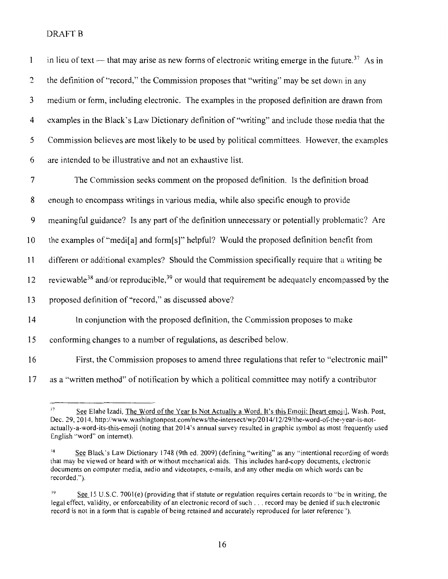| $\mathbf{1}$   | in lieu of text --- that may arise as new forms of electronic writing emerge in the future. <sup>37</sup> As in        |
|----------------|------------------------------------------------------------------------------------------------------------------------|
| 2              | the definition of "record," the Commission proposes that "writing" may be set down in any                              |
| $\mathfrak{Z}$ | medium or form, including electronic. The examples in the proposed definition are drawn from                           |
| 4              | examples in the Black's Law Dictionary definition of "writing" and include those media that the                        |
| 5              | Commission believes are most likely to be used by political committees. However, the examples                          |
| 6              | are intended to be illustrative and not an exhaustive list.                                                            |
| $\overline{7}$ | The Commission seeks comment on the proposed definition. Is the definition broad                                       |
| 8              | enough to encompass writings in various media, while also specific enough to provide                                   |
| 9              | meaningful guidance? Is any part of the definition unnecessary or potentially problematic? Are                         |
| 10             | the examples of "medi[a] and form[s]" helpful? Would the proposed definition benefit from                              |
| 11             | different or additional examples? Should the Commission specifically require that a writing be                         |
| 12             | reviewable <sup>38</sup> and/or reproducible, <sup>39</sup> or would that requirement be adequately encompassed by the |
| 13             | proposed definition of "record," as discussed above?                                                                   |
| 14             | In conjunction with the proposed definition, the Commission proposes to make                                           |
| 15             | conforming changes to a number of regulations, as described below.                                                     |
| 16             | First, the Commission proposes to amend three regulations that refer to "electronic mail"                              |

17 as a "written method" of notification by which a political committee may notify a contributor

<sup>&</sup>lt;sup>37</sup> See Elahe Izadi, The Word of the Year Is Not Actually a Word. It's this Emoji: [heart emoji], Wash. Post, Dec. 29, 2014, http://www. washingtonpost.com/news/the-intersect/wp/20 14/12/29/the-word-of-the-year-is-notactually-a-word-its-this-emoji (noting that 2014's annual survey resulted in graphic symbol as most frequently used English "word" on internet).

<sup>&</sup>lt;sup>38</sup> See Black's Law Dictionary 1748 (9th ed. 2009) (defining "writing" as any "intentional recording of words that may be viewed or heard with or without mechanical aids. This includes hard-copy documents, electronic documents on computer media, audio and videotapes, e-mails, and any other media on which words can be recorded.").

<sup>39</sup> **<u>See</u> 15 U.S.C. 7001(e) (providing that if statute or regulation requires certain records to "be in writing, the** legal effect, validity, or enforceability of an electronic record of such ... record may be denied if such electronic record is not in a form that is capable of being retained and accurately reproduced for later reference').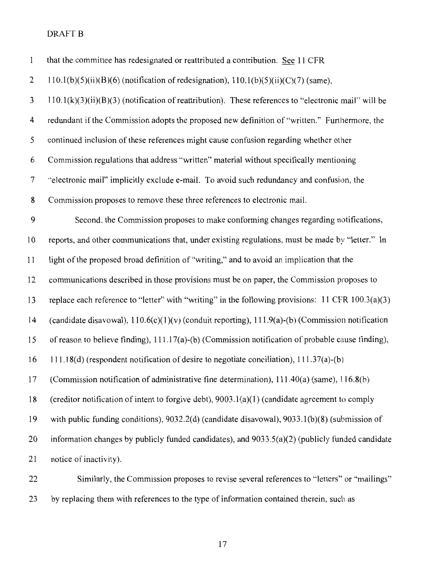| $\mathbf{1}$     | that the committee has redesignated or reattributed a contribution. See 11 CFR                         |
|------------------|--------------------------------------------------------------------------------------------------------|
| 2                | $110.1(b)(5)(ii)(B)(6)$ (notification of redesignation), $110.1(b)(5)(ii)(C)(7)$ (same),               |
| 3                | $110.1(k)(3)(ii)(B)(3)$ (notification of reattribution). These references to "electronic mail" will be |
| $\overline{4}$   | redundant if the Commission adopts the proposed new definition of "written." Furthermore, the          |
| 5                | continued inclusion of these references might cause confusion regarding whether other                  |
| 6                | Commission regulations that address "written" material without specifically mentioning                 |
| 7                | "electronic mail" implicitly exclude e-mail. To avoid such redundancy and confusion, the               |
| 8                | Commission proposes to remove these three references to electronic mail.                               |
| $\boldsymbol{9}$ | Second, the Commission proposes to make conforming changes regarding notifications,                    |
| 10               | reports, and other communications that, under existing regulations, must be made by "letter." In       |
| 11               | light of the proposed broad definition of "writing," and to avoid an implication that the              |
| 12               | communications described in those provisions must be on paper, the Commission proposes to              |
| 13               | replace each reference to "letter" with "writing" in the following provisions: 11 CFR 100.3(a)(3)      |
| 14               | (candidate disavowal), $110.6(c)(1)(v)$ (conduit reporting), $111.9(a)-(b)$ (Commission notification   |
| 15               | of reason to believe finding), 111.17(a)-(b) (Commission notification of probable cause finding),      |
| 16               | 111.18(d) (respondent notification of desire to negotiate conciliation), 111.37(a)-(b)                 |
| 17               | (Commission notification of administrative fine determination), 111.40(a) (same), 116.8(b)             |
| 18               | (creditor notification of intent to forgive debt), $9003.1(a)(1)$ (candidate agreement to comply       |
| 19               | with public funding conditions), $9032.2(d)$ (candidate disavowal), $9033.1(b)(8)$ (submission of      |
| 20               | information changes by publicly funded candidates), and $9033.5(a)(2)$ (publicly funded candidate      |
| 21               | notice of inactivity).                                                                                 |
| 22               | Similarly, the Commission proposes to revise several references to "letters" or "mailings"             |

23 by replacing them with references to the type of information contained therein, such as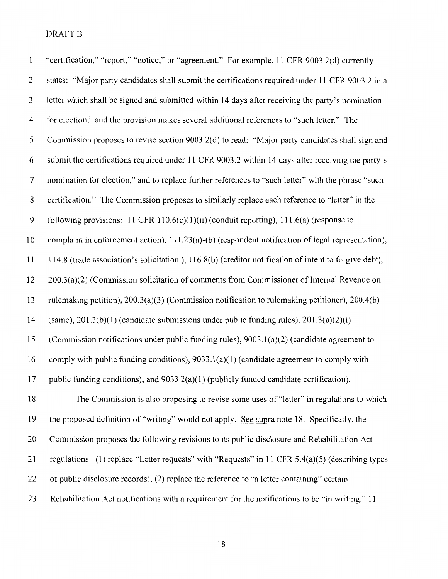| $\mathbf{1}$   | "certification," "report," "notice," or "agreement." For example, 11 CFR 9003.2(d) currently          |
|----------------|-------------------------------------------------------------------------------------------------------|
| $\overline{2}$ | states: "Major party candidates shall submit the certifications required under 11 CFR 9003.2 in a     |
| 3              | letter which shall be signed and submitted within 14 days after receiving the party's nomination      |
| 4              | for election," and the provision makes several additional references to "such letter." The            |
| 5              | Commission proposes to revise section 9003.2(d) to read: "Major party candidates shall sign and       |
| 6              | submit the certifications required under 11 CFR 9003.2 within 14 days after receiving the party's     |
| 7              | nomination for election," and to replace further references to "such letter" with the phrase "such    |
| 8              | certification." The Commission proposes to similarly replace each reference to "letter" in the        |
| 9              | following provisions: 11 CFR 110.6(c)(1)(ii) (conduit reporting), $111.6(a)$ (response to             |
| 10             | complaint in enforcement action), 111.23(a)-(b) (respondent notification of legal representation),    |
| 11             | 114.8 (trade association's solicitation), 116.8(b) (creditor notification of intent to forgive debt), |
| 12             | 200.3(a)(2) (Commission solicitation of comments from Commissioner of Internal Revenue on             |
| 13             | rulemaking petition), $200.3(a)(3)$ (Commission notification to rulemaking petitioner), $200.4(b)$    |
| 14             | (same), $201.3(b)(1)$ (candidate submissions under public funding rules), $201.3(b)(2)(i)$            |
| 15             | (Commission notifications under public funding rules), 9003.1(a)(2) (candidate agreement to           |
| 16             | comply with public funding conditions), $9033.1(a)(1)$ (candidate agreement to comply with            |
| 17             | public funding conditions), and $9033.2(a)(1)$ (publicly funded candidate certification).             |
| 18             | The Commission is also proposing to revise some uses of "letter" in regulations to which              |
| 19             | the proposed definition of "writing" would not apply. See supra note 18. Specifically, the            |
| 20             | Commission proposes the following revisions to its public disclosure and Rehabilitation Act           |
| 21             | regulations: (1) replace "Letter requests" with "Requests" in 11 CFR 5.4(a)(5) (describing types      |
| 22             | of public disclosure records); (2) replace the reference to "a letter containing" certain             |
| 23             | Rehabilitation Act notifications with a requirement for the notifications to be "in writing." 11      |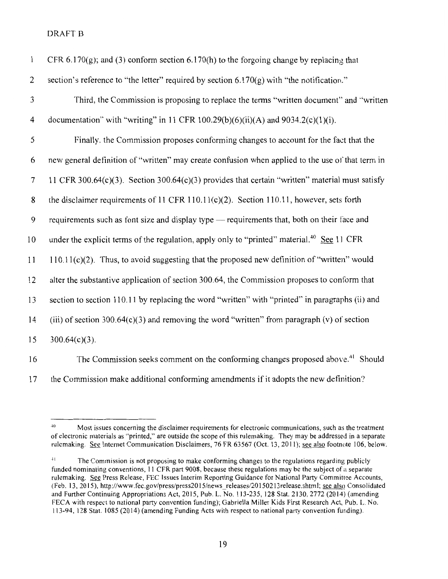| $\mathbf{1}$ | CFR 6.170(g); and (3) conform section 6.170(h) to the forgoing change by replacing that                |
|--------------|--------------------------------------------------------------------------------------------------------|
| 2            | section's reference to "the letter" required by section $6.170(g)$ with "the notification."            |
| 3            | Third, the Commission is proposing to replace the terms "written document" and "written                |
| 4            | documentation" with "writing" in 11 CFR 100.29(b)(6)(ii)(A) and 9034.2(c)(1)(i).                       |
| 5            | Finally, the Commission proposes conforming changes to account for the fact that the                   |
| 6            | new general definition of "written" may create confusion when applied to the use of that term in       |
| 7            | 11 CFR 300.64 $(c)(3)$ . Section 300.64 $(c)(3)$ provides that certain "written" material must satisfy |
| 8            | the disclaimer requirements of 11 CFR 110.11(c)(2). Section 110.11, however, sets forth                |
| 9            | requirements such as font size and display type - requirements that, both on their face and            |
| 10           | under the explicit terms of the regulation, apply only to "printed" material. <sup>40</sup> See 11 CFR |
| 11           | $110.11(c)(2)$ . Thus, to avoid suggesting that the proposed new definition of "written" would         |
| 12           | alter the substantive application of section 300.64, the Commission proposes to conform that           |
| 13           | section to section 110.11 by replacing the word "written" with "printed" in paragraphs (ii) and        |
| 14           | (iii) of section $300.64(c)(3)$ and removing the word "written" from paragraph (v) of section          |
| 15           | $300.64(c)(3)$ .                                                                                       |
|              |                                                                                                        |

16 The Commission seeks comment on the conforming changes proposed above.<sup>41</sup> Should 17 the Commission make additional conforming amendments if it adopts the new definition?

<sup>&</sup>lt;sup>40</sup> Most issues concerning the disclaimer requirements for electronic communications, such as the treatment of electronic materials as "printed," are outside the scope of this rulemaking. They may be addressed in a separate rulemaking. See Internet Communication Disclaimers, 76 FR 63567 (Oct. 13, 2011 ); see also footnote 106, below.

<sup>&</sup>lt;sup>41</sup> The Commission is not proposing to make conforming changes to the regulations regarding publicly funded nominating conventions, II CFR part 9008, because these regulations may be the subject of a separate rulemaking. See Press Release, FEC Issues Interim Reporting Guidance for National Party Committee Accounts, (Feb. 13, 2015), http://www.fec.gov/press/press2015/news\_releases/20150213release.shtml; see also Consolidated and Further Continuing Appropriations Act, 2015, Pub. L. No. 113-235, 128 Stat. 2130, 2772 (2014) (amending FECA with respect to national party convention funding); Gabriella Miller Kids First Research Act, Pub. L. No. 113-94, 128 Stat. I 085 (20 14) (amending Funding Acts with respect to national party convention funding).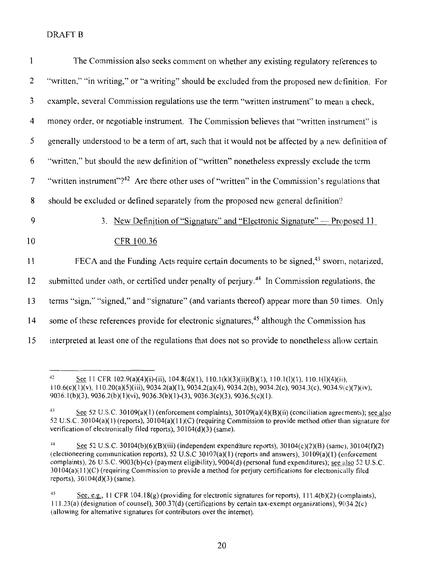| The Commission also seeks comment on whether any existing regulatory references to                         |
|------------------------------------------------------------------------------------------------------------|
| "written," "in writing," or "a writing" should be excluded from the proposed new definition. For           |
| example, several Commission regulations use the term "written instrument" to mean a check,                 |
| money order, or negotiable instrument. The Commission believes that "written instrument" is                |
| generally understood to be a term of art, such that it would not be affected by a new definition of        |
| "written," but should the new definition of "written" nonetheless expressly exclude the term               |
| "written instrument"? <sup>42</sup> Are there other uses of "written" in the Commission's regulations that |
| should be excluded or defined separately from the proposed new general definition?                         |
| New Definition of "Signature" and "Electronic Signature" — Proposed 11<br>3 <sub>1</sub>                   |
| CFR 100.36                                                                                                 |
| FECA and the Funding Acts require certain documents to be signed, <sup>43</sup> sworn, notarized,          |
| submitted under oath, or certified under penalty of perjury. <sup>44</sup> In Commission regulations, the  |
| terms "sign," "signed," and "signature" (and variants thereof) appear more than 50 times. Only             |
| some of these references provide for electronic signatures, <sup>45</sup> although the Commission has      |
| interpreted at least one of the regulations that does not so provide to nonetheless allow certain          |
|                                                                                                            |

<sup>·</sup> See 11 CFR 102.9(a)(4)(i)-(ii),  $104.8(d)(1)$ ,  $110.1(k)(3)(ii)(B)(1)$ ,  $110.1(l)(1)$ ,  $110.1(l)(4)(ii)$ , 110.6{c)(l)(v), 110.20(a)(5)(iii), 9034.2(a)(l), 9034.2(a)(4), 9034.2(b), 9034.2(c), 9034.3(c), 9034.9(c)(7)(iv),  $9036.1(b)(3)$ ,  $9036.2(b)(1)(vi)$ ,  $9036.3(b)(1)-(3)$ ,  $9036.3(c)(3)$ ,  $9036.5(c)(1)$ .

<sup>&</sup>lt;sup>43</sup> See 52 U.S.C. 30109(a)(1) (enforcement complaints), 30109(a)(4)(B)(ii) (conciliation agreements); see also 52 U.S.C. 30104(a)(1) (reports), 30104(a)(11)(C) (requiring Commission to provide method other than signature for verification of electronically filed reports),  $30104(d)(3)$  (same).

<sup>&</sup>lt;sup>44</sup> See 52 U.S.C. 30104(b)(6)(B)(iii) (independent expenditure reports), 30104(c)(2)(B) (same), 30104(f)(2) (electioneering communication reports), 52 U.S.C 30107(a)(1) (reports and answers), 30109(a)(1) (enforcement complaints), 26 U.S.C. 9003(b)-(c) (payment eligibility), 9004(d) (personal fund expenditures); see also 52 U.S.C. *30* I 04(a)( II )(C) (requiring Commission to provide a method for perjury certifications for electronically filed reports), 30104(d)(3) (same).

<sup>45</sup> See, e.g., 11 CFR 104.18(g) (providing for electronic signatures for reports),  $111.4(b)(2)$  (complaints), I 11.23(a) (designation of counsel), 300.37(d) (certifications by certain tax-exempt organizations), 9034.2( c) (allowing for alternative signatures for contributors over the internet).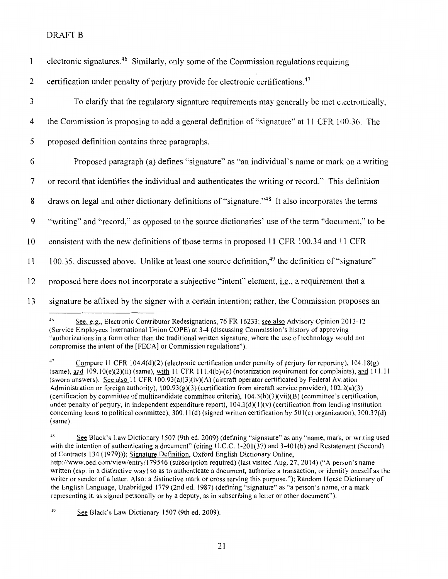| $\mathbf{1}$   | electronic signatures. <sup>46</sup> Similarly, only some of the Commission regulations requiring            |
|----------------|--------------------------------------------------------------------------------------------------------------|
| 2              | certification under penalty of perjury provide for electronic certifications. <sup>47</sup>                  |
| $\mathfrak{Z}$ | To clarify that the regulatory signature requirements may generally be met electronically,                   |
| 4              | the Commission is proposing to add a general definition of "signature" at 11 CFR 100.36. The                 |
| 5              | proposed definition contains three paragraphs.                                                               |
| 6              | Proposed paragraph (a) defines "signature" as "an individual's name or mark on a writing                     |
| $\overline{7}$ | or record that identifies the individual and authenticates the writing or record." This definition           |
| 8              | draws on legal and other dictionary definitions of "signature." <sup>48</sup> It also incorporates the terms |
| 9              | "writing" and "record," as opposed to the source dictionaries' use of the term "document," to be             |
| 10             | consistent with the new definitions of those terms in proposed 11 CFR 100.34 and 11 CFR                      |
| 11             | 100.35, discussed above. Unlike at least one source definition, <sup>49</sup> the definition of "signature"  |
| 12             | proposed here does not incorporate a subjective "intent" element, <i>i.e.</i> , a requirement that a         |
| 13             | signature be affixed by the signer with a certain intention; rather, the Commission proposes an              |
|                |                                                                                                              |

See, e.g., Electronic Contributor Redesignations, 76 FR 16233; see also Advisory Opinion 2013-12 (Service Employees International Union COPE) at 3-4 (discussing Commission's history of approving ''authorizations in a form other than the traditional written signature, where the use of technology would not compromise the intent of the [FECA] or Commission regulations").

<sup>&</sup>lt;sup>47</sup> Compare 11 CFR 104.4(d)(2) (electronic certification under penalty of perjury for reporting), 104.18(g)  $(same)$ , and  $109.10(e)(2)(ii)$  (same), with 11 CFR 111.4(b)-(c) (notarization requirement for complaints), and 111.11 (sworn answers). See also 11 CFR 100.93(a)(3)(iv)(A) (aircraft operator certificated by Federal Aviation Administration or foreign authority),  $100.93(g)(3)$  (certification from aircraft service provider),  $102.2(a)(3)$ (certification by committee of multicandidate committee criteria),  $104.3(b)(3)(vii)(B)$  (committee's certification, under penalty of perjury, in independent expenditure report),  $104.3(d)(1)(v)$  (certification from lending institution concerning loans to political committee), 300.1I(d) (signed written certification by 50l(c) organization), 300.37(d) (same).

<sup>18</sup> See Black's Law Dictionary 1507 (9th ed. 2009) (defining "signature" as any "name, mark, or writing used with the intention of authenticating a document" (citing U.C.C. 1-201(37) and 3-401(b) and Restatement (Second) of Contracts 134 ( 1979))); Signature Definition, Oxford English Dictionary Online, http://www.oed.com/view/entry/179546 (subscription required) (last visited Aug. 27, 2014) ("A person's name written (esp. in a distinctive way) so as to authenticate a document, authorize a transaction, or identify oneself as the writer or sender of a letter. Also: a distinctive mark or cross serving this purpose."); Random House Dictionary of the English Language, Unabridged 1779 (2nd ed. 1987) (defining "signature" as "a person's name, or a mark representing it, as signed personally or by a deputy, as in subscribing a letter or other document").

 $.19$ See Black's Law Dictionary 1507 (9th ed. 2009).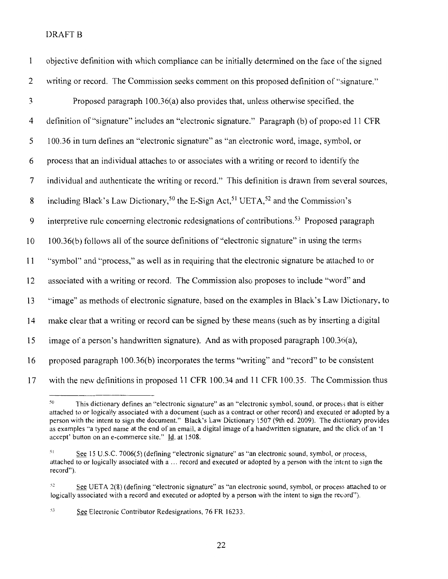| $\mathbf{1}$   | objective definition with which compliance can be initially determined on the face of the signed                       |
|----------------|------------------------------------------------------------------------------------------------------------------------|
| 2              | writing or record. The Commission seeks comment on this proposed definition of "signature."                            |
| 3              | Proposed paragraph 100.36(a) also provides that, unless otherwise specified, the                                       |
| $\overline{4}$ | definition of "signature" includes an "electronic signature." Paragraph (b) of proposed 11 CFR                         |
| 5              | 100.36 in turn defines an "electronic signature" as "an electronic word, image, symbol, or                             |
| 6              | process that an individual attaches to or associates with a writing or record to identify the                          |
| $\overline{7}$ | individual and authenticate the writing or record." This definition is drawn from several sources,                     |
| 8              | including Black's Law Dictionary, <sup>50</sup> the E-Sign Act, <sup>51</sup> UETA, <sup>52</sup> and the Commission's |
| 9              | interpretive rule concerning electronic redesignations of contributions. <sup>53</sup> Proposed paragraph              |
| 10             | 100.36(b) follows all of the source definitions of "electronic signature" in using the terms                           |
| 11             | "symbol" and "process," as well as in requiring that the electronic signature be attached to or                        |
| 12             | associated with a writing or record. The Commission also proposes to include "word" and                                |
| 13             | "image" as methods of electronic signature, based on the examples in Black's Law Dictionary, to                        |
| 14             | make clear that a writing or record can be signed by these means (such as by inserting a digital                       |
| 15             | image of a person's handwritten signature). And as with proposed paragraph 100.36(a),                                  |
| 16             | proposed paragraph 100.36(b) incorporates the terms "writing" and "record" to be consistent                            |
| 17             | with the new definitions in proposed 11 CFR 100.34 and 11 CFR 100.35. The Commission thus                              |

<sup>&</sup>lt;sup>50</sup>This dictionary defines an "electronic signature" as an "electronic symbol, sound, or process that is either attached to or logically associated with a document (such as a contract or other record) and executed or adopted by a person with the intent to sign the document." Black's Law Dictionary 1507 (9th ed. 2009). The dictionary provides as examples ''a typed name at the end of an email, a digital image of a handwritten signature, and the click of an 'I accept' button on an e-commerce site." Id. at 1508.

53 See Electronic Contributor Redesignations, 76 FR 16233.

 $51$  See 15 U.S.C. 7006(5) (defining "electronic signature" as "an electronic sound, symbol, or process, attached to or logically associated with a ... record and executed or adopted by a person with the intent to sign the record").

 ${}^{52}$  See UETA 2(8) (defining "electronic signature" as "an electronic sound, symbol, or process attached to or logically associated with a record and executed or adopted by a person with the intent to sign the record").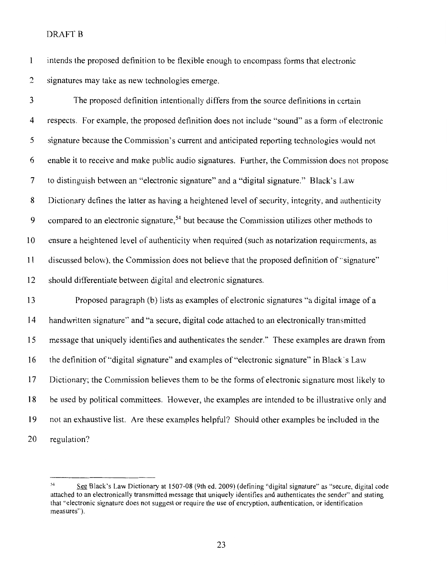intends the proposed definition to be flexible enough to encompass forms that electronic  $\mathbf{1}$ 2 signatures may take as new technologies emerge.

3 The proposed definition intentionally differs from the source definitions in certain 4 respects. For example, the proposed definition does not include "sound" as a form of electronic 5 signature because the Commission's current and anticipated reporting technologies would not 6 enable it to receive and make public audio signatures. Further, the Commission does not propose 7 to distinguish between an "electronic signature" and a "digital signature." Black's Law 8 Dictionary defines the latter as having a heightened level of security, integrity, and authenticity 9 compared to an electronic signature,<sup>54</sup> but because the Commission utilizes other methods to 10 ensure a heightened level of authenticity when required (such as notarization requirements, as II discussed below), the Commission does not believe that the proposed definition of"signature" I2 should differentiate between digital and electronic signatures. I3 Proposed paragraph (b) lists as examples of electronic signatures "a digital image of a I4 handwritten signature" and "a secure, digital code attached to an electronically transmitted I5 message that uniquely identifies and authenticates the sender." These examples are drawn from 16 the definition of "digital signature" and examples of "electronic signature" in Black s Law

I7 Dictionary; the Commission believes them to be the forms of electronic signature most likely to

I8 be used by political committees. However, the examples are intended to be illustrative only and

I9 not an exhaustive list. Are these examples helpful? Should other examples be included in the

20 regulation?

<sup>54</sup> See Black's Law Dictionary at 1507-08 (9th ed. 2009) (defining "digital signature'' as "secure, digital code attached to an electronically transmitted message that uniquely identifies and authenticates the sender" and stating that ''electronic signature does not suggest or require the use of encryption, authentication, or identification measures'').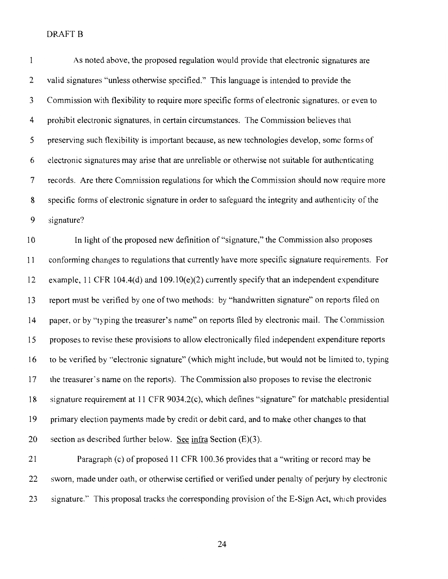| $\mathbf{1}$   | As noted above, the proposed regulation would provide that electronic signatures are               |
|----------------|----------------------------------------------------------------------------------------------------|
| $\overline{2}$ | valid signatures "unless otherwise specified." This language is intended to provide the            |
| 3              | Commission with flexibility to require more specific forms of electronic signatures, or even to    |
| $\overline{4}$ | prohibit electronic signatures, in certain circumstances. The Commission believes that             |
| 5              | preserving such flexibility is important because, as new technologies develop, some forms of       |
| 6              | electronic signatures may arise that are unreliable or otherwise not suitable for authenticating   |
| 7              | records. Are there Commission regulations for which the Commission should now require more         |
| 8              | specific forms of electronic signature in order to safeguard the integrity and authenticity of the |
| 9              | signature?                                                                                         |
| 10             | In light of the proposed new definition of "signature," the Commission also proposes               |
| 11             | conforming changes to regulations that currently have more specific signature requirements. For    |
| 12             | example, 11 CFR 104.4(d) and 109.10(e)(2) currently specify that an independent expenditure        |
| 13             | report must be verified by one of two methods: by "handwritten signature" on reports filed on      |
| 14             | paper, or by "typing the treasurer's name" on reports filed by electronic mail. The Commission     |
| 15             | proposes to revise these provisions to allow electronically filed independent expenditure reports  |
| 16             | to be verified by "electronic signature" (which might include, but would not be limited to, typing |
| 17             | the treasurer's name on the reports). The Commission also proposes to revise the electronic        |
| 18             | signature requirement at 11 CFR 9034.2(c), which defines "signature" for matchable presidential    |
| 19             | primary election payments made by credit or debit card, and to make other changes to that          |
| 20             | section as described further below. See infra Section $(E)(3)$ .                                   |
|                |                                                                                                    |

21 Paragraph (c) of proposed **11** CFR 100.36 provides that a "writing or record may be 22 sworn, made under oath, or otherwise certified or verified under penalty of perjury by electronic 23 signature." This proposal tracks the corresponding provision of the E-Sign Act, which provides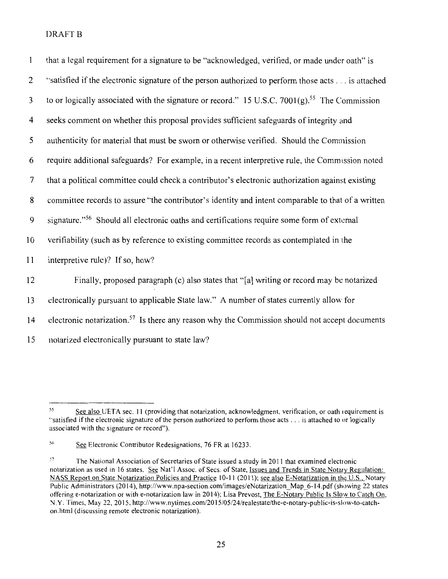| $\mathbf{1}$   | that a legal requirement for a signature to be "acknowledged, verified, or made under oath" is            |
|----------------|-----------------------------------------------------------------------------------------------------------|
| 2              | "satisfied if the electronic signature of the person authorized to perform those acts is attached         |
| 3              | to or logically associated with the signature or record." 15 U.S.C. 7001(g). <sup>55</sup> The Commission |
| 4              | seeks comment on whether this proposal provides sufficient safeguards of integrity and                    |
| 5              | authenticity for material that must be sworn or otherwise verified. Should the Commission                 |
| 6              | require additional safeguards? For example, in a recent interpretive rule, the Commission noted           |
| $\overline{7}$ | that a political committee could check a contributor's electronic authorization against existing          |
| 8              | committee records to assure "the contributor's identity and intent comparable to that of a written        |
| 9              | signature." <sup>56</sup> Should all electronic oaths and certifications require some form of external    |
| 10             | verifiability (such as by reference to existing committee records as contemplated in the                  |
| 11             | interpretive rule)? If so, how?                                                                           |
| 12             | Finally, proposed paragraph (c) also states that "[a] writing or record may be notarized                  |
| 13             | electronically pursuant to applicable State law." A number of states currently allow for                  |
| 14             | electronic notarization. <sup>57</sup> Is there any reason why the Commission should not accept documents |
| 15             | notarized electronically pursuant to state law?                                                           |

<sup>&</sup>lt;sup>55</sup> See also UETA sec. 11 (providing that notarization, acknowledgment, verification, or oath requirement is ''satisfied if the electronic signature of the person authorized to perform those acts ... is attached to or logically associated with the signature or record").

<sup>&</sup>lt;sup>56</sup> See Electronic Contributor Redesignations, 76 FR at 16233.

<sup>&</sup>lt;sup>57</sup> The National Association of Secretaries of State issued a study in 2011 that examined electronic notarization as used in 16 states. See Nat'l Assoc. of Secs. of State, Issues and Trends in State Notary Regulation: NASS Report on State Notarization Policies and Practice 10-11 (2011); see also E-Notarization in the U.S., Notary Public Administrators (2014), http://www.npa-section.com/images/eNotarization\_Map\_6-14.pdf (showing 22 states offering e-notarization or with e-notarization law in 2014); Lisa Prevost, The E-Notary Public Is Slow to Catch On, \1. Y. Times, May 22, 2015, http://www.nytimes.com/20 15/05/24/realestate/the-e-notary-public-is-slow-to-catchon.html (discussing remote electronic notarization).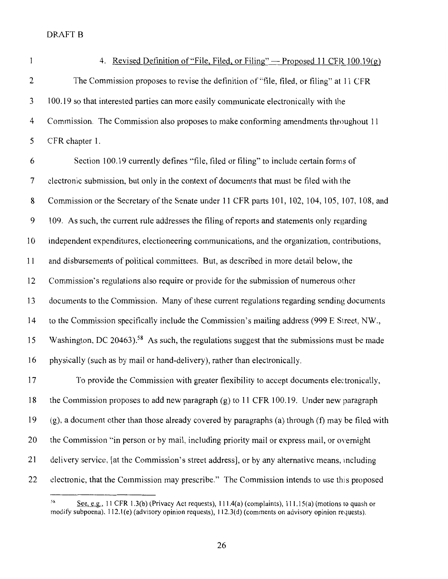$\mathbf{1}$ 

#### 4. Revised Definition of "File, Filed, or Filing" — Proposed 11 CFR 100.19(g)

2 The Commission proposes to revise the definition of "file, filed, or filing" at 11 CFR 3 100.19 so that interested parties can more easily communicate electronically with the 4 Commission. The Commission also proposes to make conforming amendments throughout 11 5 CFR chapter 1.

6 Section 100.19 currently defines "file, filed or filing" to include certain forms of 7 electronic submission, but only in the context of documents that must be filed with the 8 Commission or the Secretary of the Senate under 11 CFR parts 101, 102, 104, 105, 107, 108, and 9 109. As such, the current rule addresses the filing of reports and statements only regarding 10 independent expenditures, electioneering communications, and the organization, contributions, 11 and disbursements of political committees. But, as described in more detail below, the 12 Commission's regulations also require or provide for the submission of numerous other 13 documents to the Commission. Many of these current regulations regarding sending documents 14 to the Commission specifically include the Commission's mailing address (999 E Street, NW., 15 Washington, DC 20463).<sup>58</sup> As such, the regulations suggest that the submissions must be made 16 physically (such as by mail or hand-delivery), rather than electronically. 17 To provide the Commission with greater flexibility to accept documents electronically, 18 the Commission proposes to add new paragraph (g) to 11 CFR 1 00.19. Under new paragraph 19 (g), a document other than those already covered by paragraphs (a) through (f) may be filed with 20 the Commission "in person or by mail, including priority mail or express mail, or overnight 21 delivery service, [at the Commission's street address], or by any alternative means, mcluding 22 electronic, that the Commission may prescribe." The Commission intends to use this proposed

<sup>&</sup>lt;sup>58</sup> See, e.g., 11 CFR 1.3(b) (Privacy Act requests), 111.4(a) (complaints), 111.15(a) (motions to quash or modify subpoena), 112.l(e) (advisory opinion requests), 112.3{d) (comments on advisory opinion requests).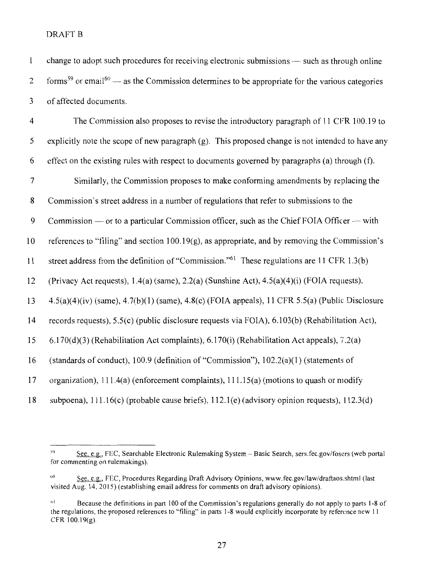| $\mathbf{1}$            | change to adopt such procedures for receiving electronic submissions - such as through online                          |
|-------------------------|------------------------------------------------------------------------------------------------------------------------|
| $\overline{c}$          | forms <sup>59</sup> or email <sup>60</sup> — as the Commission determines to be appropriate for the various categories |
| 3                       | of affected documents.                                                                                                 |
| $\overline{\mathbf{4}}$ | The Commission also proposes to revise the introductory paragraph of 11 CFR 100.19 to                                  |
| 5                       | explicitly note the scope of new paragraph $(g)$ . This proposed change is not intended to have any                    |
| 6                       | effect on the existing rules with respect to documents governed by paragraphs (a) through (f).                         |
| $\tau$                  | Similarly, the Commission proposes to make conforming amendments by replacing the                                      |
| $\bf 8$                 | Commission's street address in a number of regulations that refer to submissions to the                                |
| 9                       | Commission — or to a particular Commission officer, such as the Chief FOIA Officer — with                              |
| 10                      | references to "filing" and section $100.19(g)$ , as appropriate, and by removing the Commission's                      |
| 11                      | street address from the definition of "Commission." <sup>61</sup> These regulations are 11 CFR 1.3(b)                  |
| 12                      | (Privacy Act requests), $1.4(a)$ (same), $2.2(a)$ (Sunshine Act), $4.5(a)(4)(i)$ (FOIA requests),                      |
| 13                      | $4.5(a)(4)(iv)$ (same), $4.7(b)(1)$ (same), $4.8(c)$ (FOIA appeals), 11 CFR 5.5(a) (Public Disclosure                  |
| 14                      | records requests), 5.5(c) (public disclosure requests via FOIA), 6.103(b) (Rehabilitation Act),                        |
| 15                      | 6.170(d)(3) (Rehabilitation Act complaints), 6.170(i) (Rehabilitation Act appeals), 7.2(a)                             |
| 16                      | (standards of conduct), $100.9$ (definition of "Commission"), $102.2(a)(1)$ (statements of                             |
| 17                      | organization), $111.4(a)$ (enforcement complaints), $111.15(a)$ (motions to quash or modify                            |
| 18                      | subpoena), 111.16(c) (probable cause briefs), 112.1(e) (advisory opinion requests), 112.3(d)                           |

<sup>59</sup> See, e.g., FEC, Searchable Electronic Rulemaking System - Basic Search, sers.fec.gov/fosers (web portal for commenting on rulemakings).

<sup>&</sup>lt;sup>60</sup> See, e.g., FEC, Procedures Regarding Draft Advisory Opinions, www.fec.gov/law/draftaos.shtml (last visited Aug. 14, 2015) (establishing email address for comments on draft advisory opinions).

<sup>&</sup>lt;sup>61</sup> Because the definitions in part 100 of the Commission's regulations generally do not apply to parts 1-8 of the regulations, the proposed references to "filing" in parts 1-8 would explicitly incorporate by reference new 11 CFR 100.19(g).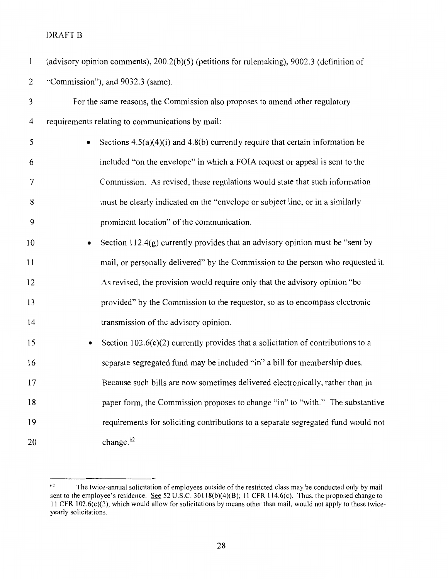| $\mathbf{1}$   | (advisory opinion comments), $200.2(b)(5)$ (petitions for rulemaking), $9002.3$ (definition of |
|----------------|------------------------------------------------------------------------------------------------|
| $\overline{2}$ | "Commission"), and 9032.3 (same).                                                              |
| 3              | For the same reasons, the Commission also proposes to amend other regulatory                   |
| 4              | requirements relating to communications by mail:                                               |
| 5              | Sections $4.5(a)(4)(i)$ and $4.8(b)$ currently require that certain information be             |
| 6              | included "on the envelope" in which a FOIA request or appeal is sent to the                    |
| 7              | Commission. As revised, these regulations would state that such information                    |
| 8              | must be clearly indicated on the "envelope or subject line, or in a similarly                  |
| 9              | prominent location" of the communication.                                                      |
| 10             | Section $112.4(g)$ currently provides that an advisory opinion must be "sent by                |
| 11             | mail, or personally delivered" by the Commission to the person who requested it.               |
| 12             | As revised, the provision would require only that the advisory opinion "be                     |
| 13             | provided" by the Commission to the requestor, so as to encompass electronic                    |
| 14             | transmission of the advisory opinion.                                                          |
| 15             | Section $102.6(c)(2)$ currently provides that a solicitation of contributions to a<br>٠        |
| 16             | separate segregated fund may be included "in" a bill for membership dues.                      |
| 17             | Because such bills are now sometimes delivered electronically, rather than in                  |
| 18             | paper form, the Commission proposes to change "in" to "with." The substantive                  |
| 19             | requirements for soliciting contributions to a separate segregated fund would not              |
| 20             | change. <sup>62</sup>                                                                          |

 $10<sup>2</sup>$  The twice-annual solicitation of employees outside of the restricted class may be conducted only by mail sent to the employee's residence. See 52 U.S.C. 30118(b)(4)(B); 11 CFR 114.6(c). Thus, the proposed change to II CFR 102.6(c)(2), which would allow for solicitations by means other than mail, would not apply to these twiceyearly solicitations.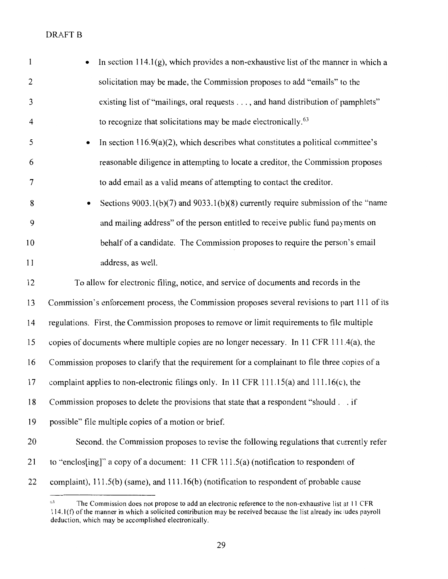```
DRAFT B
```

| $\mathbf{1}$            | In section $114.1(g)$ , which provides a non-exhaustive list of the manner in which a           |
|-------------------------|-------------------------------------------------------------------------------------------------|
| 2                       | solicitation may be made, the Commission proposes to add "emails" to the                        |
| 3                       | existing list of "mailings, oral requests , and hand distribution of pamphlets"                 |
| $\overline{\mathbf{4}}$ | to recognize that solicitations may be made electronically. <sup>63</sup>                       |
| 5                       | In section $116.9(a)(2)$ , which describes what constitutes a political committee's             |
| 6                       | reasonable diligence in attempting to locate a creditor, the Commission proposes                |
| 7                       | to add email as a valid means of attempting to contact the creditor.                            |
| 8                       | Sections $9003.1(b)(7)$ and $9033.1(b)(8)$ currently require submission of the "name"           |
| 9                       | and mailing address" of the person entitled to receive public fund payments on                  |
| 10                      | behalf of a candidate. The Commission proposes to require the person's email                    |
| 1 <sub>1</sub>          | address, as well.                                                                               |
| 12                      | To allow for electronic filing, notice, and service of documents and records in the             |
| 13                      | Commission's enforcement process, the Commission proposes several revisions to part 111 of its  |
| 14                      | regulations. First, the Commission proposes to remove or limit requirements to file multiple    |
| 15                      | copies of documents where multiple copies are no longer necessary. In 11 CFR 111.4(a), the      |
| 16                      | Commission proposes to clarify that the requirement for a complainant to file three copies of a |
| 17                      | complaint applies to non-electronic filings only. In 11 CFR 111.15(a) and $111.16(c)$ , the     |
| 18                      | Commission proposes to delete the provisions that state that a respondent "should if            |
| 19                      | possible" file multiple copies of a motion or brief.                                            |
| 20                      | Second, the Commission proposes to revise the following regulations that currently refer        |
| 21                      | to "enclos[ing]" a copy of a document: $11$ CFR $111.5(a)$ (notification to respondent of       |
| 22                      | complaint), 111.5(b) (same), and 111.16(b) (notification to respondent of probable cause        |

 $63$  The Commission does not propose to add an electronic reference to the non-exhaustive list at 11 CFR  $114.1(f)$  of the manner in which a solicited contribution may be received because the list already includes payroll deduction, which may be accomplished electronically.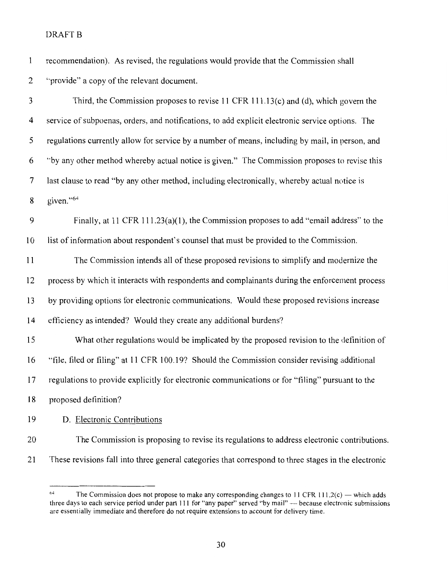| 1            | recommendation). As revised, the regulations would provide that the Commission shall                 |
|--------------|------------------------------------------------------------------------------------------------------|
| $\mathbf{2}$ | "provide" a copy of the relevant document.                                                           |
| 3            | Third, the Commission proposes to revise 11 CFR $111.13(c)$ and (d), which govern the                |
| 4            | service of subpoenas, orders, and notifications, to add explicit electronic service options. The     |
| 5            | regulations currently allow for service by a number of means, including by mail, in person, and      |
| 6            | "by any other method whereby actual notice is given." The Commission proposes to revise this         |
| 7            | last clause to read "by any other method, including electronically, whereby actual notice is         |
| 8            | given."64                                                                                            |
| 9            | Finally, at 11 CFR 111.23(a)(1), the Commission proposes to add "email address" to the               |
| 10           | list of information about respondent's counsel that must be provided to the Commission.              |
| 11           | The Commission intends all of these proposed revisions to simplify and modernize the                 |
| 12           | process by which it interacts with respondents and complainants during the enforcement process       |
| 13           | by providing options for electronic communications. Would these proposed revisions increase          |
| 14           | efficiency as intended? Would they create any additional burdens?                                    |
| 15           | What other regulations would be implicated by the proposed revision to the definition of             |
| 16           | "file, filed or filing" at 11 CFR 100.19? Should the Commission consider revising additional         |
| 17           | regulations to provide explicitly for electronic communications or for "filing" pursuant to the      |
| 18           | proposed definition?                                                                                 |
| 19           | D. Electronic Contributions                                                                          |
| 20           | The Commission is proposing to revise its regulations to address electronic contributions.           |
| 21           | These revisions fall into three general categories that correspond to three stages in the electronic |

<sup>&</sup>lt;sup>64</sup> The Commission does not propose to make any corresponding changes to 11 CFR 111.2(c) — which adds three days to each service period under part 111 for "any paper" served "by mail" -- because electronic submissions are essentially immediate and therefore do not require extensions to account for delivery time.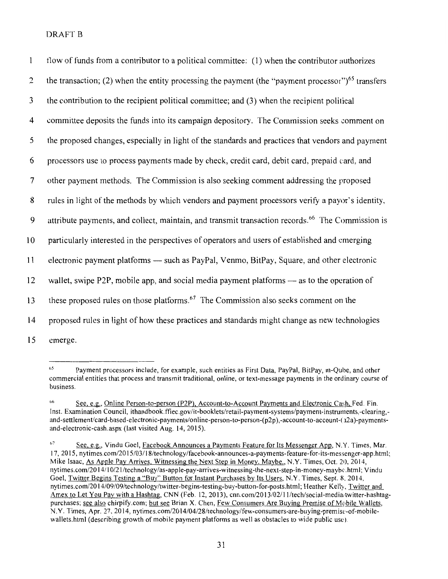| $\mathbf{1}$ | flow of funds from a contributor to a political committee: (1) when the contributor authorizes                |
|--------------|---------------------------------------------------------------------------------------------------------------|
| 2            | the transaction; (2) when the entity processing the payment (the "payment processor") <sup>65</sup> transfers |
| 3            | the contribution to the recipient political committee; and (3) when the recipient political                   |
| 4            | committee deposits the funds into its campaign depository. The Commission seeks comment on                    |
| 5            | the proposed changes, especially in light of the standards and practices that vendors and payment             |
| 6            | processors use to process payments made by check, credit card, debit card, prepaid card, and                  |
| 7            | other payment methods. The Commission is also seeking comment addressing the proposed                         |
| 8            | rules in light of the methods by which vendors and payment processors verify a payor's identity,              |
| 9            | attribute payments, and collect, maintain, and transmit transaction records. <sup>66</sup> The Commission is  |
| 10           | particularly interested in the perspectives of operators and users of established and emerging                |
| 11           | electronic payment platforms — such as PayPal, Venmo, BitPay, Square, and other electronic                    |
| 12           | wallet, swipe P2P, mobile app, and social media payment platforms $-$ as to the operation of                  |
| 13           | these proposed rules on those platforms. <sup>67</sup> The Commission also seeks comment on the               |
| 14           | proposed rules in light of how these practices and standards might change as new technologies                 |
| 15           | emerge.                                                                                                       |

<sup>6</sup> 5 Payment processors include, for example, such entities as First Data, PayPal, BitPay, m-Qube, and other commercial entities that process and transmit traditional, online, or text-message payments in the ordinary course of business.

 $66$  See, e.g., Online Person-to-person (P2P), Account-to-Account Payments and Electronic Cash, Fed. Fin. Inst. Examination Council, ithandbook.ffiec.gov/it-booklets/retail-payment-systems/payment-instruments,-clearing, and-settlement/card-based-electronic-payments/online-person-to-person-(p2p),-account-to-account-(12a)-paymentsand-electronic-cash.aspx (last visited Aug. 14, 2015).

 $67$ See, e.g., Vindu Goel, Facebook Announces a Payments Feature for Its Messenger App, N.Y. Times, Mar. 17, 20 15, nytimes.com/20 15/03/ 18/technology/facebook-announces-a-payments-feature-for-its-messenger-app.html; Mike Isaac, As Apple Pay Arrives, Witnessing the Next Step in Money. Maybe., N.Y. Times, Oct. 21), 2014, nytimes.com/2014/10/21/technology/as-apple-pay-arrives-witnessing-the-next-step-in-money-maybe.html; Vindu Goel, Twitter Begins Testing a "Buy" Button for Instant Purchases by Its Users, N.Y. Times, Sept. 8, 2014, nytimes.com/20 14/09/09/technology/twitter-begins-testing-buy-button-for-posts.html; Heather Kelly, Twitter and Amex to Let You Pay with a Hashtag, CNN (Feb. 12, 2013), cnn.com/2013/02/11/tech/social-media;twitter-hashtagpurchases; see also chirpify.com; but see Brian X. Chen, Few Consumers Are Buying Premise of Mobile Wallets, N.Y. Times, Apr. 27, 20 14, nytimes.com/20 14/04/28/technology/few-consumers-are-buying-premist·-of-mobilewallets.html (describing growth of mobile payment platforms as well as obstacles to wide public use).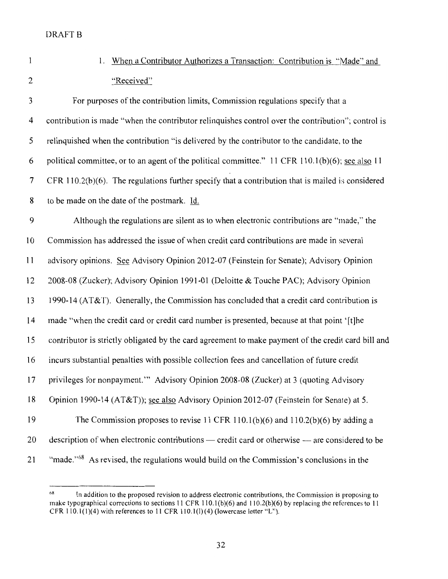- $\mathbf{1}$
- 1. When a Contributor Authorizes a Transaction: Contribution is "Made'' and 2 "Received"

3 For purposes of the contribution limits, Commission regulations specify that a 4 contribution is made "when the contributor relinquishes control over the contribution"; control is 5 relinquished when the contribution "is delivered by the contributor to the candidate, to the 6 political committee, or to an agent of the political committee." 11 CFR 110.1(b)(6); see also 11 7 CFR 110.2(b)(6). The regulations further specify that a contribution that is mailed is considered 8 to be made on the date of the postmark. Id. 9 Although the regulations are silent as to when electronic contributions are "made," the 10 Commission has addressed the issue of when credit card contributions are made in several 11 advisory opinions. See Advisory Opinion 2012-07 (Feinstein for Senate); Advisory Opinion 12 2008-08 (Zucker); Advisory Opinion 1991-01 (Deloitte & Touche PAC); Advisory Opinion 13 1990-14 (AT&T). Generally, the Commission has concluded that a credit card contribution is 14 made "when the credit card or credit card number is presented, because at that point '[t]he 15 contributor is strictly obligated by the card agreement to make payment of the credit card bill and 16 incurs substantial penalties with possible collection fees and cancellation of future credit 17 privileges for nonpayment."' Advisory Opinion 2008-08 (Zucker) at 3 (quoting Advisory 18 Opinion 1990-14 (AT&T)); see also Advisory Opinion 2012-07 (Feinstein for Senate) at 5. 19 The Commission proposes to revise 11 CFR 110.1(b)(6) and 110.2(b)(6) by adding a 20 description of when electronic contributions — credit card or otherwise — are considered to be

21 "made."<sup>68</sup> As revised, the regulations would build on the Commission's conclusions in the

 $68$  In addition to the proposed revision to address electronic contributions, the Commission is proposing to make typographical corrections to sections 11 CFR 110.1{b){6) and 110.2(b)(6) by replacing the references to 11 CFR  $110.1(1)(4)$  with references to 11 CFR  $110.1(1)(4)$  (lowercase letter "L").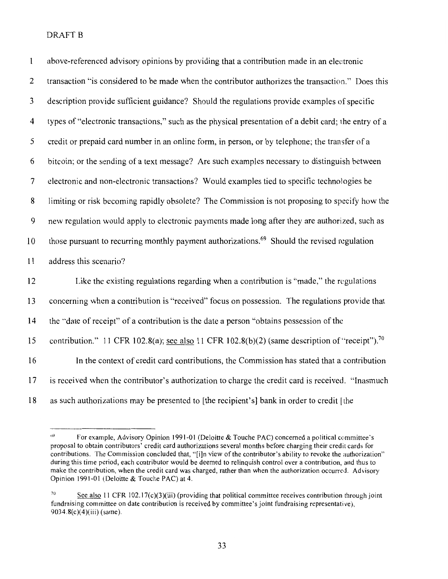| $\mathbf{l}$             | above-referenced advisory opinions by providing that a contribution made in an electronic                         |
|--------------------------|-------------------------------------------------------------------------------------------------------------------|
| $\overline{c}$           | transaction "is considered to be made when the contributor authorizes the transaction." Does this                 |
| $\mathfrak{Z}$           | description provide sufficient guidance? Should the regulations provide examples of specific                      |
| $\overline{4}$           | types of "electronic transactions," such as the physical presentation of a debit card; the entry of a             |
| 5                        | credit or prepaid card number in an online form, in person, or by telephone; the transfer of a                    |
| 6                        | bitcoin; or the sending of a text message? Are such examples necessary to distinguish between                     |
| $\overline{\mathcal{L}}$ | electronic and non-electronic transactions? Would examples tied to specific technologies be                       |
| 8                        | limiting or risk becoming rapidly obsolete? The Commission is not proposing to specify how the                    |
| $\boldsymbol{9}$         | new regulation would apply to electronic payments made long after they are authorized, such as                    |
| 10                       | those pursuant to recurring monthly payment authorizations. <sup>69</sup> Should the revised regulation           |
| 11                       | address this scenario?                                                                                            |
| 12                       | Like the existing regulations regarding when a contribution is "made," the regulations                            |
| 13                       | concerning when a contribution is "received" focus on possession. The regulations provide that                    |
| 14                       | the "date of receipt" of a contribution is the date a person "obtains possession of the                           |
| 15                       | contribution." 11 CFR 102.8(a); <u>see also</u> 11 CFR 102.8(b)(2) (same description of "receipt"). <sup>70</sup> |
| 16                       | In the context of credit card contributions, the Commission has stated that a contribution                        |
| 17                       | is received when the contributor's authorization to charge the credit card is received. "Inasmuch                 |
| 18                       | as such authorizations may be presented to [the recipient's] bank in order to credit [the                         |

<sup>69</sup> For example, Advisory Opinion 1991-01 (Deloitte & Touche PAC) concerned a political committee's proposal to obtain contributors' credit card authorizations several months before charging their credit cards for contributions. The Commission concluded that, "[i]n view of the contributor's ability to revoke the authorization" during this time period, each contributor would be deemed to relinquish control over a contribution, and thus to make the contribution, when the credit card was charged, rather than when the authorization occurred. Advisory Opinion 1991-01 (Deloitte & Touche PAC) at 4.

<sup>&</sup>lt;sup>70</sup> See also 11 CFR 102.17(c)(3)(iii) (providing that political committee receives contribution through joint fundraising committee on date contribution is received by committee's joint fundraising representative), 9034.8(c)(4)(iii) (same).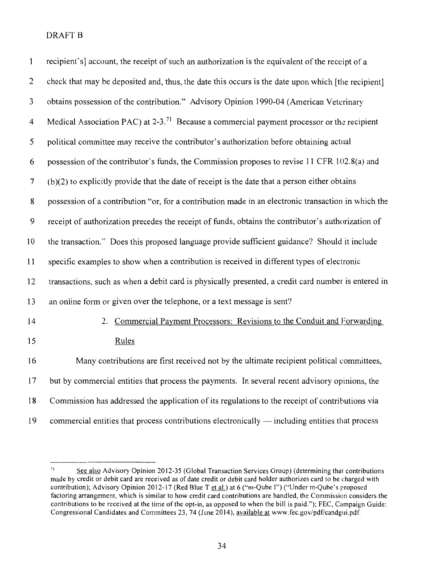| $\mathbf{1}$   | recipient's] account, the receipt of such an authorization is the equivalent of the receipt of a       |
|----------------|--------------------------------------------------------------------------------------------------------|
| $\overline{c}$ | check that may be deposited and, thus, the date this occurs is the date upon which [the recipient]     |
| $\mathfrak{Z}$ | obtains possession of the contribution." Advisory Opinion 1990-04 (American Veterinary                 |
| $\overline{4}$ | Medical Association PAC) at 2-3. <sup>71</sup> Because a commercial payment processor or the recipient |
| 5              | political committee may receive the contributor's authorization before obtaining actual                |
| 6              | possession of the contributor's funds, the Commission proposes to revise 11 CFR 102.8(a) and           |
| 7              | $(b)(2)$ to explicitly provide that the date of receipt is the date that a person either obtains       |
| 8              | possession of a contribution "or, for a contribution made in an electronic transaction in which the    |
| 9              | receipt of authorization precedes the receipt of funds, obtains the contributor's authorization of     |
| 10             | the transaction." Does this proposed language provide sufficient guidance? Should it include           |
| 11             | specific examples to show when a contribution is received in different types of electronic             |
| 12             | transactions, such as when a debit card is physically presented, a credit card number is entered in    |
| 13             | an online form or given over the telephone, or a text message is sent?                                 |
| 14             | 2. Commercial Payment Processors: Revisions to the Conduit and Forwarding                              |
| 15             | Rules                                                                                                  |
| 16             | Many contributions are first received not by the ultimate recipient political committees,              |
| 17             | but by commercial entities that process the payments. In several recent advisory opinions, the         |
| 18             | Commission has addressed the application of its regulations to the receipt of contributions via        |
| 19             | commercial entities that process contributions electronically — including entities that process        |

 $71$  See also Advisory Opinion 2012-35 (Global Transaction Services Group) (determining that contributions made by credit or debit card are received as of date credit or debit card holder authorizes card to be charged with contribution); Advisory Opinion 2012-17 (Red Blue T et al.) at 6 ("m-Qube !") ("Under m-Qube's proposed factoring arrangement, which is similar to how credit card contributions are handled, the Commission considers the contributions to be received at the time of the opt-in, as opposed to when the bill is paid."); FEC, Campaign Guide: Congressional Candidates and Committees 23, 74 (June 2014), available at www.fec.gov/pdf/candgui.pdf.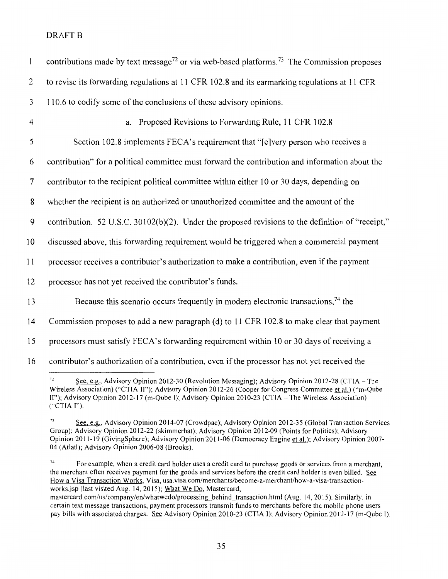| $\mathbf{1}$   | contributions made by text message <sup>72</sup> or via web-based platforms. <sup>73</sup> The Commission proposes |
|----------------|--------------------------------------------------------------------------------------------------------------------|
| 2              | to revise its forwarding regulations at 11 CFR 102.8 and its earmarking regulations at 11 CFR                      |
| 3              | 110.6 to codify some of the conclusions of these advisory opinions.                                                |
| $\overline{4}$ | a. Proposed Revisions to Forwarding Rule, 11 CFR 102.8                                                             |
| 5              | Section 102.8 implements FECA's requirement that "[e]very person who receives a                                    |
| 6              | contribution" for a political committee must forward the contribution and information about the                    |
| $\tau$         | contributor to the recipient political committee within either 10 or 30 days, depending on                         |
| 8              | whether the recipient is an authorized or unauthorized committee and the amount of the                             |
| 9              | contribution. 52 U.S.C. 30102(b)(2). Under the proposed revisions to the definition of "receipt,"                  |
| 10             | discussed above, this forwarding requirement would be triggered when a commercial payment                          |
| 11             | processor receives a contributor's authorization to make a contribution, even if the payment                       |
| 12             | processor has not yet received the contributor's funds.                                                            |
| 13             | Because this scenario occurs frequently in modern electronic transactions, <sup>74</sup> the                       |
| 14             | Commission proposes to add a new paragraph (d) to 11 CFR 102.8 to make clear that payment                          |
| 15             | processors must satisfy FECA's forwarding requirement within 10 or 30 days of receiving a                          |
| 16             | contributor's authorization of a contribution, even if the processor has not yet received the                      |

*<sup>&</sup>quot; <sup>2</sup>*See, e.g., Advisory Opinion 2012-30 (Revolution Messaging); Advisory Opinion 2012-28 (CTIA- The Wireless Association) ("CTIA II"); Advisory Opinion 2012-26 (Cooper for Congress Committee et al.) ("m-Qube II"); Advisory Opinion 2012-17 (m-Qube I); Advisory Opinion 2010-23 (CTIA - The Wireless Association) ("CTIA I'").

<sup>&</sup>lt;sup>73</sup> See, e.g., Advisory Opinion 2014-07 (Crowdpac); Advisory Opinion 2012-35 (Global Transaction Services Group); Advisory Opinion 2012-22 (skimmerhat); Advisory Opinion 2012-09 (Points for Politics); Advisory Opinion 2011-19 (GivingSphere); Advisory Opinion 2011-06 (Democracy Engine et al.); Advisory Opinion 2007- 04 (Atlatl); Advisory Opinion 2006-08 (Brooks).

 $74$  For example, when a credit card holder uses a credit card to purchase goods or services from a merchant, the merchant often receives payment for the goods and services before the credit card holder is even billed. See How a Visa Transaction Works, Visa, usa.visa.com/merchants/become-a-merchant/how-a-visa-transactionworks.jsp (last visited Aug. 14, 2015); What We Do, Mastercard,

mastercard.com/us/company/en/whatwedo/processing\_behind\_transaction.html (Aug. 14, 2015). Similarly, in certain text message transactions, payment processors transmit funds to merchants before the mobile phone users pay bills with associated charges. See Advisory Opinion 2010-23 (CTIA I); Advisory Opinion 2012-17 (m-Qube 1).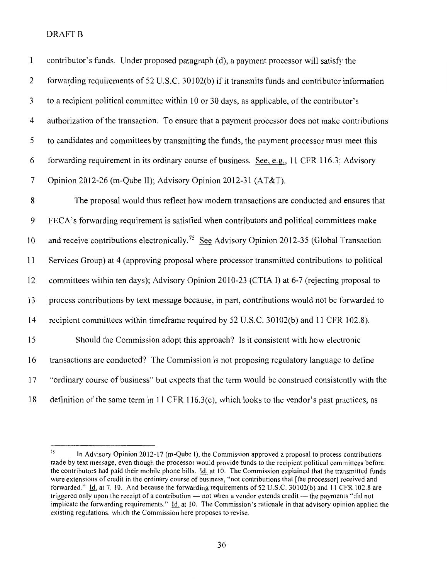| $\mathbf{1}$   | contributor's funds. Under proposed paragraph (d), a payment processor will satisfy the                  |
|----------------|----------------------------------------------------------------------------------------------------------|
| $\overline{c}$ | forwarding requirements of 52 U.S.C. 30102(b) if it transmits funds and contributor information          |
| 3              | to a recipient political committee within 10 or 30 days, as applicable, of the contributor's             |
| 4              | authorization of the transaction. To ensure that a payment processor does not make contributions         |
| 5              | to candidates and committees by transmitting the funds, the payment processor must meet this             |
| 6              | forwarding requirement in its ordinary course of business. See, e.g., 11 CFR 116.3; Advisory             |
| $\tau$         | Opinion 2012-26 (m-Qube II); Advisory Opinion 2012-31 (AT&T).                                            |
| $\bf 8$        | The proposal would thus reflect how modern transactions are conducted and ensures that                   |
| 9              | FECA's forwarding requirement is satisfied when contributors and political committees make               |
| 10             | and receive contributions electronically. <sup>75</sup> See Advisory Opinion 2012-35 (Global Transaction |
| 11             | Services Group) at 4 (approving proposal where processor transmitted contributions to political          |
| 12             | committees within ten days); Advisory Opinion 2010-23 (CTIA I) at 6-7 (rejecting proposal to             |
| 13             | process contributions by text message because, in part, contributions would not be forwarded to          |
| 14             | recipient committees within timeframe required by 52 U.S.C. 30102(b) and 11 CFR 102.8).                  |
| 15             | Should the Commission adopt this approach? Is it consistent with how electronic                          |
| 16             | transactions are conducted? The Commission is not proposing regulatory language to define                |
| 17             | "ordinary course of business" but expects that the term would be construed consistently with the         |
| 18             | definition of the same term in 11 CFR 116.3(c), which looks to the vendor's past practices, as           |

<sup>&</sup>lt;sup>75</sup> In Advisory Opinion 2012-17 (m-Qube 1), the Commission approved a proposal to process contributions made by text message, even though the processor would provide funds to the recipient political committees before the contributors had paid their mobile phone bills. *Id.* at 10. The Commission explained that the transmitted funds were extensions of credit in the ordinary course of business, "not contributions that [the processor] received and forwarded." Id. at 7, 10. And because the forwarding requirements of 52 U.S.C. 30102(b) and 11 CFR 102.8 are triggered only upon the receipt of a contribution — not when a vendor extends credit — the payments "did not implicate the forwarding requirements." *Id.* at 10. The Commission's rationale in that advisory opinion applied the existing regulations, which the Commission here proposes to revise.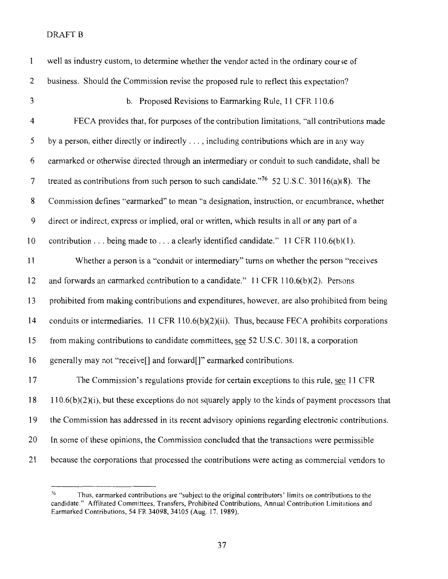| $\mathbf{1}$   | well as industry custom, to determine whether the vendor acted in the ordinary course of               |
|----------------|--------------------------------------------------------------------------------------------------------|
| $\overline{c}$ | business. Should the Commission revise the proposed rule to reflect this expectation?                  |
| 3              | b. Proposed Revisions to Earmarking Rule, 11 CFR 110.6                                                 |
| 4              | FECA provides that, for purposes of the contribution limitations, "all contributions made              |
| 5              | by a person, either directly or indirectly , including contributions which are in any way              |
| 6              | earmarked or otherwise directed through an intermediary or conduit to such candidate, shall be         |
| $\overline{7}$ | treated as contributions from such person to such candidate." <sup>76</sup> 52 U.S.C. 30116(a)(8). The |
| 8              | Commission defines "earmarked" to mean "a designation, instruction, or encumbrance, whether            |
| 9              | direct or indirect, express or implied, oral or written, which results in all or any part of a         |
| 10             | contribution being made to a clearly identified candidate." 11 CFR 110.6(b)(1).                        |
| 11             | Whether a person is a "conduit or intermediary" turns on whether the person "receives"                 |
| 12             | and forwards an earmarked contribution to a candidate." 11 CFR 110.6(b)(2). Persons                    |
| 13             | prohibited from making contributions and expenditures, however, are also prohibited from being         |
| 14             | conduits or intermediaries. 11 CFR 110.6(b)(2)(ii). Thus, because FECA prohibits corporations          |
| 15             | from making contributions to candidate committees, see 52 U.S.C. 30118, a corporation                  |
| 16             | generally may not "receive[] and forward[]" earmarked contributions.                                   |
| 17             | The Commission's regulations provide for certain exceptions to this rule, see 11 CFR                   |
| 18             | $110.6(b)(2)(i)$ , but these exceptions do not squarely apply to the kinds of payment processors that  |
| 19             | the Commission has addressed in its recent advisory opinions regarding electronic contributions.       |
| 20             | In some of these opinions, the Commission concluded that the transactions were permissible             |
| 21             | because the corporations that processed the contributions were acting as commercial vendors to         |

<sup>&</sup>lt;sup>76</sup>Thus, earmarked contributions are "subject to the original contributors' limits on contributions to the candidate." Affiliated Committees, Transfers, Prohibited Contributions, Annual Contribution Limitations and Earmarked Contributions, 54 FR 34098, 34105 (Aug. 17, 1989).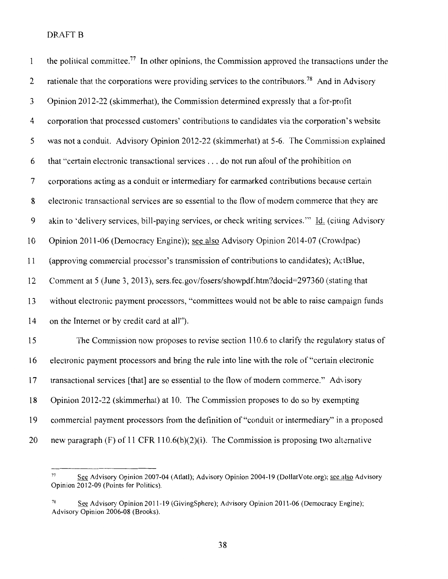| $\mathbf{1}$     | the political committee. <sup>77</sup> In other opinions, the Commission approved the transactions under the |
|------------------|--------------------------------------------------------------------------------------------------------------|
| $\overline{2}$   | rationale that the corporations were providing services to the contributors. <sup>78</sup> And in Advisory   |
| 3                | Opinion 2012-22 (skimmerhat), the Commission determined expressly that a for-profit                          |
| $\overline{4}$   | corporation that processed customers' contributions to candidates via the corporation's website              |
| 5                | was not a conduit. Advisory Opinion 2012-22 (skimmerhat) at 5-6. The Commission explained                    |
| 6                | that "certain electronic transactional services do not run afoul of the prohibition on                       |
| 7                | corporations acting as a conduit or intermediary for earmarked contributions because certain                 |
| 8                | electronic transactional services are so essential to the flow of modern commerce that they are              |
| $\boldsymbol{9}$ | akin to 'delivery services, bill-paying services, or check writing services." Id. (citing Advisory           |
| 10               | Opinion 2011-06 (Democracy Engine)); see also Advisory Opinion 2014-07 (Crowdpac)                            |
| 11               | (approving commercial processor's transmission of contributions to candidates); ActBlue,                     |
| 12               | Comment at 5 (June 3, 2013), sers.fec.gov/fosers/showpdf.htm?docid=297360 (stating that                      |
| 13               | without electronic payment processors, "committees would not be able to raise campaign funds                 |
| 14               | on the Internet or by credit card at all").                                                                  |
| 15               | The Commission now proposes to revise section 110.6 to clarify the regulatory status of                      |
| 16               | electronic payment processors and bring the rule into line with the role of "certain electronic              |
| 17               | transactional services [that] are so essential to the flow of modern commerce." Advisory                     |
| 18               | Opinion 2012-22 (skimmerhat) at 10. The Commission proposes to do so by exempting                            |
| 19               | commercial payment processors from the definition of "conduit or intermediary" in a proposed                 |
| 20               | new paragraph (F) of 11 CFR 110.6(b)(2)(i). The Commission is proposing two alternative                      |

<sup>&</sup>lt;sup>77</sup>See Advisory Opinion 2007-04 (Atlatl); Advisory Opinion 2004-19 (DollarVote.org); see also Advisory Opinion 2012-09 (Points for Politics).

<sup>&</sup>lt;sup>78</sup> See Advisory Opinion 2011-19 (GivingSphere); Advisory Opinion 2011-06 (Democracy Engine); Advisory Opinion 2006-08 (Brooks).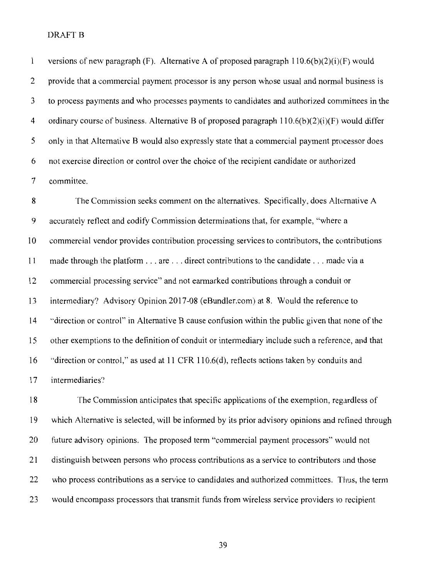$\mathbf{1}$ versions of new paragraph (F). Alternative A of proposed paragraph  $110.6(b)(2)(i)$ (F) would 2 provide that a commercial payment processor is any person whose usual and normal business is 3 to process payments and who processes payments to candidates and authorized committees in the 4 ordinary course of business. Alternative B of proposed paragraph  $110.6(b)(2)(i)(F)$  would differ 5 only in that Alternative B would also expressly state that a commercial payment processor does 6 not exercise direction or control over the choice of the recipient candidate or authorized 7 committee.

8 The Commission seeks comment on the alternatives. Specifically, does Alternative A 9 accurately reflect and codify Commission determinations that, for example, "where a 10 commercial vendor provides contribution processing services to contributors, the contributions II made through the platform ... are ... direct contributions to the candidate ... made via a I2 commercial processing service" and not earmarked contributions through a conduit or I3 intermediary? Advisory Opinion 20I7-08 (eBundler.com) at 8. Would the reference to I4 ""direction or control" in Alternative B cause confusion within the public given that none of the I5 other exemptions to the definition of conduit or intermediary include such a reference, and that 16 "direction or control," as used at 11 CFR 110.6(d), reflects actions taken by conduits and 17 intermediaries?

I8 The Commission anticipates that specific applications of the exemption, regardless of I9 which Alternative is selected, will be informed by its prior advisory opinions and refined through 20 future advisory opinions. The proposed term "commercial payment processors" would not 2I distinguish between persons who process contributions as a service to contributors and those 22 who process contributions as a service to candidates and authorized committees. Thus, the term 23 would encompass processors that transmit funds from wireless service providers to recipient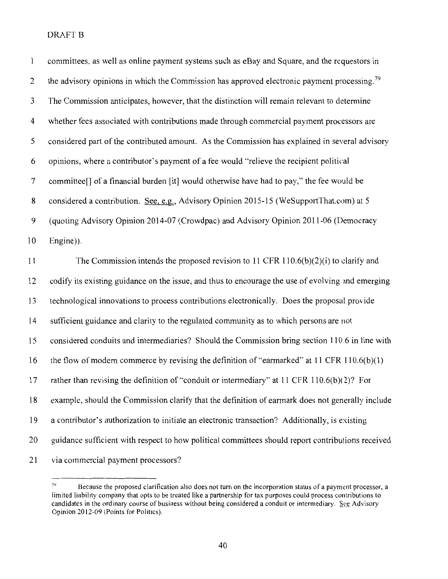| 1              | committees, as well as online payment systems such as eBay and Square, and the requestors in            |
|----------------|---------------------------------------------------------------------------------------------------------|
| $\overline{2}$ | the advisory opinions in which the Commission has approved electronic payment processing. <sup>79</sup> |
| 3              | The Commission anticipates, however, that the distinction will remain relevant to determine             |
| 4              | whether fees associated with contributions made through commercial payment processors are               |
| 5              | considered part of the contributed amount. As the Commission has explained in several advisory          |
| 6              | opinions, where a contributor's payment of a fee would "relieve the recipient political                 |
| 7              | committee[] of a financial burden [it] would otherwise have had to pay," the fee would be               |
| 8              | considered a contribution. See, e.g., Advisory Opinion 2015-15 (WeSupportThat.com) at 5                 |
| 9              | (quoting Advisory Opinion 2014-07 (Crowdpac) and Advisory Opinion 2011-06 (Democracy                    |
| 10             | Engine)).                                                                                               |
| 11             | The Commission intends the proposed revision to 11 CFR 110.6(b)(2)(i) to clarify and                    |
| 12             | codify its existing guidance on the issue, and thus to encourage the use of evolving and emerging       |
| 13             | technological innovations to process contributions electronically. Does the proposal provide            |
| 14             | sufficient guidance and clarity to the regulated community as to which persons are not                  |
| 15             | considered conduits and intermediaries? Should the Commission bring section 110.6 in line with          |
| 16             | the flow of modern commerce by revising the definition of "earmarked" at 11 CFR 110.6(b)(1)             |
| 17             | rather than revising the definition of "conduit or intermediary" at 11 CFR 110.6(b)(2)? For             |
| 18             | example, should the Commission clarify that the definition of earmark does not generally include        |
| 19             | a contributor's authorization to initiate an electronic transaction? Additionally, is existing          |
| 20             | guidance sufficient with respect to how political committees should report contributions received       |
| 21             | via commercial payment processors?                                                                      |

<sup>&</sup>lt;sup>79</sup> Because the proposed clarification also does not turn on the incorporation status of a payment processor, a limited liability company that opts to be treated like a partnership for tax purposes could process contributions to candidates in the ordinary course of business without being considered a conduit or intermediary.  $\frac{Sce}{2}$  Advisory Opinion 2012-09 (Points for Politics).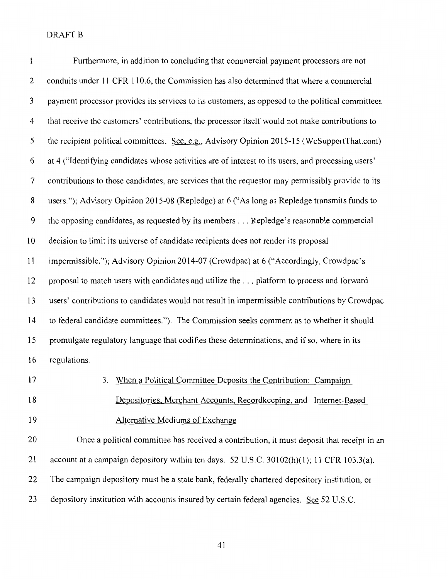| 1              | Furthermore, in addition to concluding that commercial payment processors are not                  |
|----------------|----------------------------------------------------------------------------------------------------|
| $\overline{c}$ | conduits under 11 CFR 110.6, the Commission has also determined that where a commercial            |
| $\mathfrak{Z}$ | payment processor provides its services to its customers, as opposed to the political committees   |
| 4              | that receive the customers' contributions, the processor itself would not make contributions to    |
| 5              | the recipient political committees. See, e.g., Advisory Opinion 2015-15 (WeSupportThat.com)        |
| 6              | at 4 ("Identifying candidates whose activities are of interest to its users, and processing users' |
| $\tau$         | contributions to those candidates, are services that the requestor may permissibly provide to its  |
| 8              | users."); Advisory Opinion 2015-08 (Repledge) at 6 ("As long as Repledge transmits funds to        |
| 9              | the opposing candidates, as requested by its members Repledge's reasonable commercial              |
| 10             | decision to limit its universe of candidate recipients does not render its proposal                |
| 11             | impermissible."); Advisory Opinion 2014-07 (Crowdpac) at 6 ("Accordingly, Crowdpac's               |
| 12             | proposal to match users with candidates and utilize the  platform to process and forward           |
| 13             | users' contributions to candidates would not result in impermissible contributions by Crowdpac     |
| 14             | to federal candidate committees."). The Commission seeks comment as to whether it should           |
| 15             | promulgate regulatory language that codifies these determinations, and if so, where in its         |
| 16             | regulations.                                                                                       |
| 17             | 3. When a Political Committee Deposits the Contribution: Campaign                                  |
| 18             | Depositories, Merchant Accounts, Recordkeeping, and Internet-Based                                 |
| 19             | <b>Alternative Mediums of Exchange</b>                                                             |
| 20             | Once a political committee has received a contribution, it must deposit that receipt in an         |
| 21             | account at a campaign depository within ten days. 52 U.S.C. 30102(h)(1); 11 CFR 103.3(a).          |
| 22             | The campaign depository must be a state bank, federally chartered depository institution, or       |
| 23             | depository institution with accounts insured by certain federal agencies. See 52 U.S.C.            |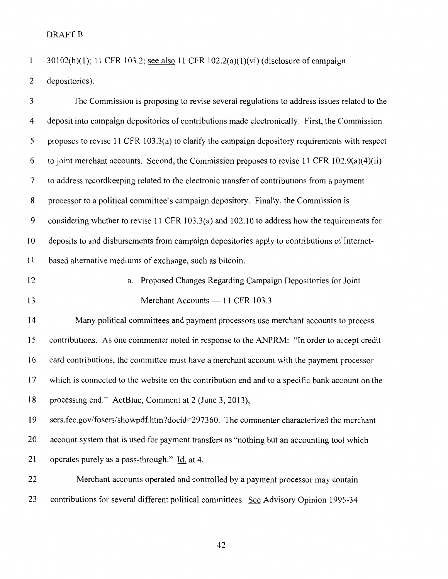$\mathbf{1}$ 30102(h)(l); 11 CFR 103.2; see also 11 CFR 102.2(a)(1)(vi) (disclosure of campaign 2 depositories).

3 The Commission is proposing to revise several regulations to address issues related to the 4 deposit into campaign depositories of contributions made electronically. First, the Commission 5 proposes to revise 11 CFR 103.3(a) to clarify the campaign depository requirements with respect 6 to joint merchant accounts. Second, the Commission proposes to revise 11 CFR  $102.9(a)(4)(ii)$ 7 to address recordkeeping related to the electronic transfer of contributions from a payment 8 processor to a political committee's campaign depository. Finally, the Commission is 9 considering whether to revise 11 CFR 103.3(a) and 102.10 to address how the requirements for 10 deposits to and disbursements from campaign depositories apply to contributions of Internet-11 based alternative mediums of exchange, such as bitcoin. 12 a. Proposed Changes Regarding Campaign Depositories for Joint 13 Merchant Accounts — 11 CFR 103.3 14 Many political committees and payment processors use merchant accounts to process 15 contributions. As one commenter noted in response to the ANPRM: "In order to accept credit 16 card contributions, the committee must have a merchant account with the payment processor 17 which is connected to the website on the contribution end and to a specific bank account on the 18 processing end." ActBlue, Comment at 2 (June 3, 2013), 19 sers.fec.gov/fosers/showpdf.htm?docid=297360. The commenter characterized the merchant 20 account system that is used for payment transfers as "nothing but an accounting tool which 21 operates purely as a pass-through." ld. at 4. 22 Merchant accounts operated and controlled by a payment processor may contain 23 contributions for several different political committees. See Advisory Opinion 1995-34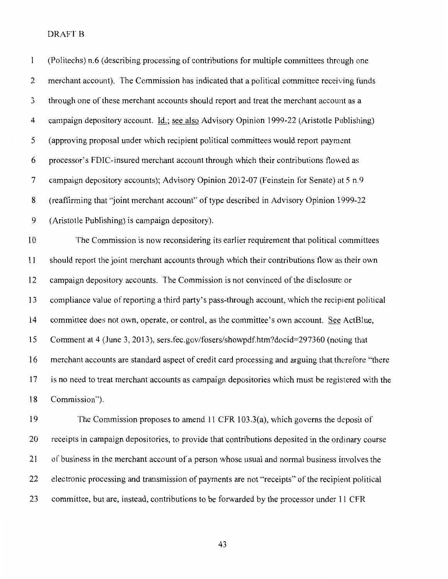| $\mathbf{1}$   | (Politechs) n.6 (describing processing of contributions for multiple committees through one       |
|----------------|---------------------------------------------------------------------------------------------------|
| $\overline{2}$ | merchant account). The Commission has indicated that a political committee receiving funds        |
| 3              | through one of these merchant accounts should report and treat the merchant account as a          |
| 4              | campaign depository account. Id.; see also Advisory Opinion 1999-22 (Aristotle Publishing)        |
| 5              | (approving proposal under which recipient political committees would report payment               |
| 6              | processor's FDIC-insured merchant account through which their contributions flowed as             |
| $\overline{7}$ | campaign depository accounts); Advisory Opinion 2012-07 (Feinstein for Senate) at 5 n.9           |
| 8              | (reaffirming that "joint merchant account" of type described in Advisory Opinion 1999-22          |
| 9              | (Aristotle Publishing) is campaign depository).                                                   |
| 10             | The Commission is now reconsidering its earlier requirement that political committees             |
| 11             | should report the joint merchant accounts through which their contributions flow as their own     |
| 12             | campaign depository accounts. The Commission is not convinced of the disclosure or                |
| 13             | compliance value of reporting a third party's pass-through account, which the recipient political |
| 14             | committee does not own, operate, or control, as the committee's own account. See ActBlue,         |
| 15             | Comment at 4 (June 3, 2013), sers.fec.gov/fosers/showpdf.htm?docid=297360 (noting that            |
| 16             | merchant accounts are standard aspect of credit card processing and arguing that therefore "there |
| 17             | is no need to treat merchant accounts as campaign depositories which must be registered with the  |
| 18             | Commission").                                                                                     |
| 19             | The Commission proposes to amend 11 CFR 103.3(a), which governs the deposit of                    |
|                |                                                                                                   |

20 receipts in campaign depositories, to provide that contributions deposited in the ordinary course 21 of business in the merchant account of a person whose usual and normal business involves the 22 electronic processing and transmission of payments are not "receipts" of the recipient political 23 committee, but are, instead, contributions to be forwarded by the processor under 11 CFR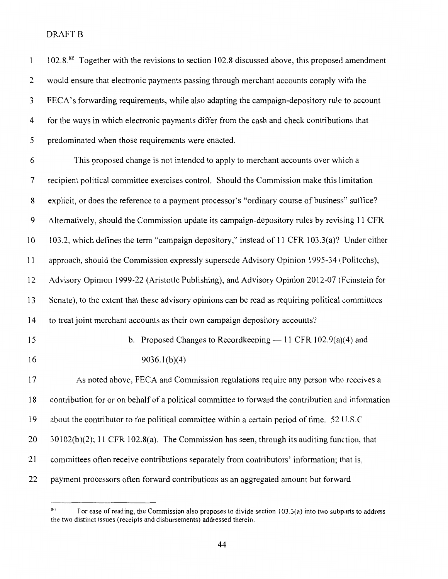| $\mathbf{1}$             | $102.880$ Together with the revisions to section 102.8 discussed above, this proposed amendment    |
|--------------------------|----------------------------------------------------------------------------------------------------|
| 2                        | would ensure that electronic payments passing through merchant accounts comply with the            |
| 3                        | FECA's forwarding requirements, while also adapting the campaign-depository rule to account        |
| 4                        | for the ways in which electronic payments differ from the cash and check contributions that        |
| 5                        | predominated when those requirements were enacted.                                                 |
| 6                        | This proposed change is not intended to apply to merchant accounts over which a                    |
| $\overline{\mathcal{L}}$ | recipient political committee exercises control. Should the Commission make this limitation        |
| 8                        | explicit, or does the reference to a payment processor's "ordinary course of business" suffice?    |
| 9                        | Alternatively, should the Commission update its campaign-depository rules by revising 11 CFR       |
| 10                       | 103.2, which defines the term "campaign depository," instead of 11 CFR 103.3(a)? Under either      |
| 11                       | approach, should the Commission expressly supersede Advisory Opinion 1995-34 (Politechs),          |
| 12                       | Advisory Opinion 1999-22 (Aristotle Publishing), and Advisory Opinion 2012-07 (Feinstein for       |
| 13                       | Senate), to the extent that these advisory opinions can be read as requiring political committees  |
| 14                       | to treat joint merchant accounts as their own campaign depository accounts?                        |
| 15                       | b. Proposed Changes to Recordkeeping $-11$ CFR 102.9(a)(4) and                                     |
| 16                       | 9036.1(b)(4)                                                                                       |
| 17                       | As noted above, FECA and Commission regulations require any person who receives a                  |
| 18                       | contribution for or on behalf of a political committee to forward the contribution and information |
| 19                       | about the contributor to the political committee within a certain period of time. 52 U.S.C.        |
| 20                       | $30102(b)(2)$ ; 11 CFR 102.8(a). The Commission has seen, through its auditing function, that      |
| 21                       | committees often receive contributions separately from contributors' information; that is,         |
| 22                       | payment processors often forward contributions as an aggregated amount but forward                 |

 $x<sup>80</sup>$  For ease of reading, the Commission also proposes to divide section 103.3(a) into two subparts to address the two distinct issues (receipts and disbursements) addressed therein.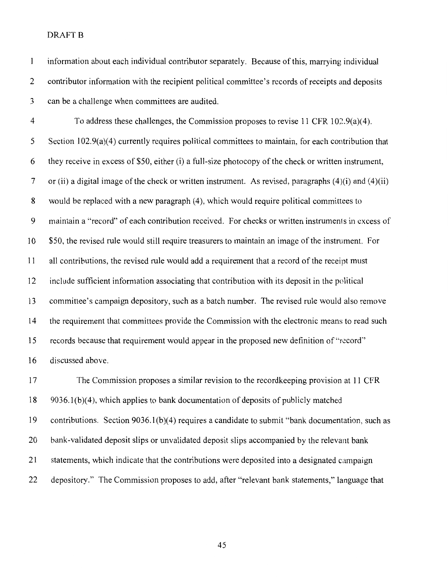$\mathbf{l}$ information about each individual contributor separately. Because of this, marrying individual 2 contributor information with the recipient political committee's records of receipts and deposits 3 can be a challenge when committees are audited.

4 To address these challenges, the Commission proposes to revise 11 CFR 102.9(a)(4). 5 Section 102.9(a)(4) currently requires political committees to maintain, for each contribution that 6 they receive in excess of \$50, either (i) a full-size photocopy of the check or written instrument, 7 or (ii) a digital image of the check or written instrument. As revised, paragraphs (4)(i) and (4)(ii) 8 would be replaced with a new paragraph (4), which would require political committees to 9 maintain a "record" of each contribution received. For checks or written instruments in excess of 10 \$50, the revised rule would still require treasurers to maintain an image of the instrument. For 11 all contributions, the revised rule would add a requirement that a record of the receipt must 12 include sufficient information associating that contribution with its deposit in the political 13 committee's campaign depository, such as a batch number. The revised rule would also remove 14 the requirement that committees provide the Commission with the electronic means to read such 15 records because that requirement would appear in the proposed new definition of"record"' 16 discussed above.

17 The Commission proposes a similar revision to the recordkeeping provision at 11 CFR 18 9036.1 (b)( 4 ), which applies to bank documentation of deposits of publicly matched 19 contributions. Section 9036.1(b)(4) requires a candidate to submit "bank documentation, such as 20 bank-validated deposit slips or unvalidated deposit slips accompanied by the relevant bank 21 statements, which indicate that the contributions were deposited into a designated campaign 22 depository.'' The Commission proposes to add, after "relevant bank statements," language that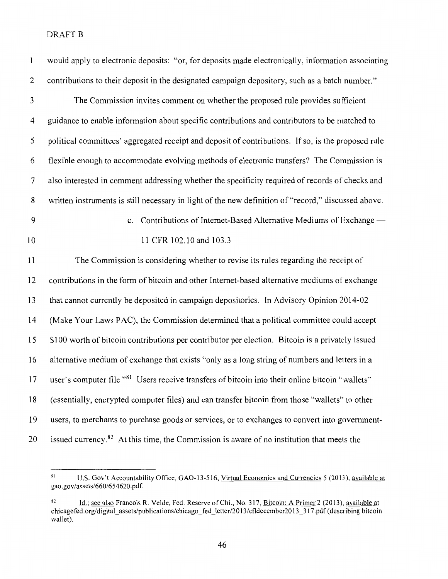| $\mathbf{1}$   | would apply to electronic deposits: "or, for deposits made electronically, information associating          |
|----------------|-------------------------------------------------------------------------------------------------------------|
| $\overline{c}$ | contributions to their deposit in the designated campaign depository, such as a batch number."              |
| $\mathfrak{Z}$ | The Commission invites comment on whether the proposed rule provides sufficient                             |
| 4              | guidance to enable information about specific contributions and contributors to be matched to               |
| 5              | political committees' aggregated receipt and deposit of contributions. If so, is the proposed rule          |
| 6              | flexible enough to accommodate evolving methods of electronic transfers? The Commission is                  |
| 7              | also interested in comment addressing whether the specificity required of records of checks and             |
| 8              | written instruments is still necessary in light of the new definition of "record," discussed above.         |
| $\mathbf{9}$   | Contributions of Internet-Based Alternative Mediums of Exchange —<br>$c_{\cdot}$                            |
| 10             | 11 CFR 102.10 and 103.3                                                                                     |
| 11             | The Commission is considering whether to revise its rules regarding the receipt of                          |
| 12             | contributions in the form of bitcoin and other Internet-based alternative mediums of exchange               |
| 13             | that cannot currently be deposited in campaign depositories. In Advisory Opinion 2014-02                    |
| 14             | (Make Your Laws PAC), the Commission determined that a political committee could accept                     |
| 15             | \$100 worth of bitcoin contributions per contributor per election. Bitcoin is a privately issued            |
| 16             | alternative medium of exchange that exists "only as a long string of numbers and letters in a               |
| 17             | user's computer file." <sup>81</sup> Users receive transfers of bitcoin into their online bitcoin "wallets" |
| 18             | (essentially, encrypted computer files) and can transfer bitcoin from those "wallets" to other              |
| 19             | users, to merchants to purchase goods or services, or to exchanges to convert into government-              |
| 20             | issued currency. <sup>82</sup> At this time, the Commission is aware of no institution that meets the       |

<sup>81</sup> U.S. Gov't Accountability Office, GAO-13-516, Virtual Economies and Currencies 5 (2013), available at gao.gov/assets/660/654620.pdf.

 $\frac{d}{dx}$  ld.; see also Francois R. Velde, Fed. Reserve of Chi., No. 317, Bitcoin: A Primer 2 (2013), available at chicagofed.org/digital\_assets/publications/chicago\_fed \_letter/20 13/cfldecember20 13 \_317.pdf (describing bitcoin wallet).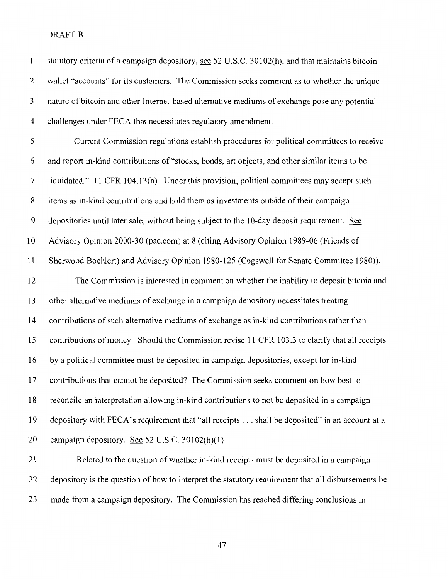| $\mathbf{1}$   | statutory criteria of a campaign depository, see 52 U.S.C. 30102(h), and that maintains bitcoin |
|----------------|-------------------------------------------------------------------------------------------------|
| $\overline{2}$ | wallet "accounts" for its customers. The Commission seeks comment as to whether the unique      |
| 3              | nature of bitcoin and other Internet-based alternative mediums of exchange pose any potential   |
| 4              | challenges under FECA that necessitates regulatory amendment.                                   |
| 5              | Current Commission regulations establish procedures for political committees to receive         |
| 6              | and report in-kind contributions of "stocks, bonds, art objects, and other similar items to be  |
| 7              | liquidated." 11 CFR 104.13(b). Under this provision, political committees may accept such       |
| 8              | items as in-kind contributions and hold them as investments outside of their campaign           |
| 9              | depositories until later sale, without being subject to the 10-day deposit requirement. See     |
| 10             | Advisory Opinion 2000-30 (pac.com) at 8 (citing Advisory Opinion 1989-06 (Friends of            |
| 11             | Sherwood Boehlert) and Advisory Opinion 1980-125 (Cogswell for Senate Committee 1980)).         |
| 12             | The Commission is interested in comment on whether the inability to deposit bitcoin and         |
| 13             | other alternative mediums of exchange in a campaign depository necessitates treating            |
| 14             | contributions of such alternative mediums of exchange as in-kind contributions rather than      |
| 15             | contributions of money. Should the Commission revise 11 CFR 103.3 to clarify that all receipts  |
| 16             | by a political committee must be deposited in campaign depositories, except for in-kind         |
| 17             | contributions that cannot be deposited? The Commission seeks comment on how best to             |
| 18             | reconcile an interpretation allowing in-kind contributions to not be deposited in a campaign    |
| 19             | depository with FECA's requirement that "all receipts shall be deposited" in an account at a    |
| 20             | campaign depository. See 52 U.S.C. 30102(h)(1).                                                 |
| 21             | Related to the question of whether in-kind receipts must be deposited in a campaign             |
|                |                                                                                                 |

23 made from a campaign depository. The Commission has reached differing conclusions in

22 depository is the question of how to interpret the statutory requirement that all disbursements be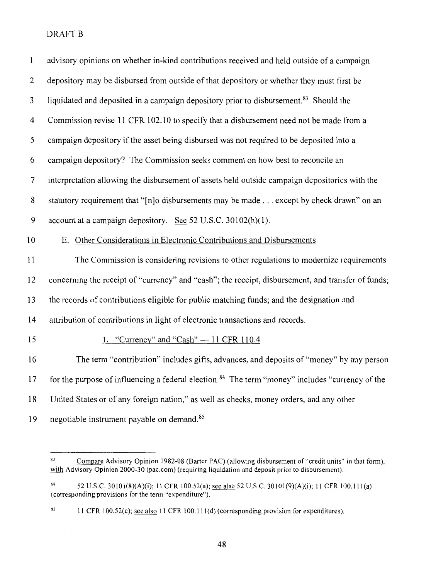| $\mathbf{1}$   | advisory opinions on whether in-kind contributions received and held outside of a campaign                  |
|----------------|-------------------------------------------------------------------------------------------------------------|
| $\overline{2}$ | depository may be disbursed from outside of that depository or whether they must first be                   |
| $\mathfrak{Z}$ | liquidated and deposited in a campaign depository prior to disbursement. <sup>83</sup> Should the           |
| 4              | Commission revise 11 CFR 102.10 to specify that a disbursement need not be made from a                      |
| 5              | campaign depository if the asset being disbursed was not required to be deposited into a                    |
| 6              | campaign depository? The Commission seeks comment on how best to reconcile an                               |
| 7              | interpretation allowing the disbursement of assets held outside campaign depositories with the              |
| 8              | statutory requirement that "[n]o disbursements may be made except by check drawn" on an                     |
| 9              | account at a campaign depository. See 52 U.S.C. 30102(h)(1).                                                |
| 10             | E. Other Considerations in Electronic Contributions and Disbursements                                       |
| 11             | The Commission is considering revisions to other regulations to modernize requirements                      |
| 12             | concerning the receipt of "currency" and "cash"; the receipt, disbursement, and transfer of funds;          |
| 13             | the records of contributions eligible for public matching funds; and the designation and                    |
| 14             | attribution of contributions in light of electronic transactions and records.                               |
| 15             | 1. "Currency" and "Cash" $-$ 11 CFR 110.4                                                                   |
| 16             | The term "contribution" includes gifts, advances, and deposits of "money" by any person                     |
| 17             | for the purpose of influencing a federal election. <sup>84</sup> The term "money" includes "currency of the |
| 18             | United States or of any foreign nation," as well as checks, money orders, and any other                     |
| 19             | negotiable instrument payable on demand. <sup>85</sup>                                                      |

<sup>&</sup>lt;sup>83</sup> Compare Advisory Opinion 1982-08 (Barter PAC) (allowing disbursement of "credit units" in that form), with Advisory Opinion 2000-30 (pac.com) (requiring liquidation and deposit prior to disbursement).

a 4 52 U.S.C. 30101(8)(A)(i); II CFR 100.52(a); see also 52 U.S.C. 30101(9)(A)(i); II CFR IOO.lll(a) (corresponding provisions for the term "expenditure").

<sup>&</sup>lt;sup>85</sup> 11 CFR 100.52(c); <u>see also</u> 11 CFR 100.111(d) (corresponding provision for expenditures).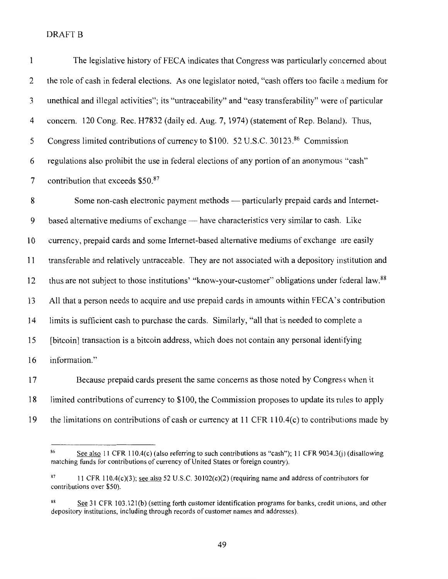| $\mathbf{1}$   | The legislative history of FECA indicates that Congress was particularly concerned about                      |
|----------------|---------------------------------------------------------------------------------------------------------------|
| 2              | the role of cash in federal elections. As one legislator noted, "cash offers too facile a medium for          |
| 3              | unethical and illegal activities"; its "untraceability" and "easy transferability" were of particular         |
| $\overline{4}$ | concern. 120 Cong. Rec. H7832 (daily ed. Aug. 7, 1974) (statement of Rep. Boland). Thus,                      |
| 5              | Congress limited contributions of currency to \$100. 52 U.S.C. 30123.86 Commission                            |
| 6              | regulations also prohibit the use in federal elections of any portion of an anonymous "cash"                  |
| $\overline{7}$ | contribution that exceeds \$50.87                                                                             |
| 8              | Some non-cash electronic payment methods — particularly prepaid cards and Internet-                           |
| 9              | based alternative mediums of exchange - have characteristics very similar to cash. Like                       |
| 10             | currency, prepaid cards and some Internet-based alternative mediums of exchange are easily                    |
| 11             | transferable and relatively untraceable. They are not associated with a depository institution and            |
| 12             | thus are not subject to those institutions' "know-your-customer" obligations under federal law. <sup>88</sup> |
| 13             | All that a person needs to acquire and use prepaid cards in amounts within FECA's contribution                |
| 14             | limits is sufficient cash to purchase the cards. Similarly, "all that is needed to complete a                 |
| 15             | [bitcoin] transaction is a bitcoin address, which does not contain any personal identifying                   |
| 16             | information."                                                                                                 |
| 17             | Because prepaid cards present the same concerns as those noted by Congress when it                            |

17 Because prepaid cards present the same concerns as those noted by Congress when it 18 limited contributions of currency to \$100, the Commission proposes to update its rules to apply 19 the limitations on contributions of cash or currency at 11 CFR 110.4(c) to contributions made by

<sup>&</sup>lt;sup>86</sup> See also 11 CFR 110.4(c) (also referring to such contributions as "cash"); 11 CFR 9034.3(j) (disallowing matching funds for contributions of currency of United States or foreign country).

<sup>87 11</sup> CFR 110.4(c)(3); see also 52 U.S.C. 30102(c)(2) (requiring name and address of contributors for contributions over \$50).

<sup>88</sup> See 31 CFR 103.121(b) (setting forth customer identification programs for banks, credit unions, and other depository institutions, including through records of customer names and addresses).